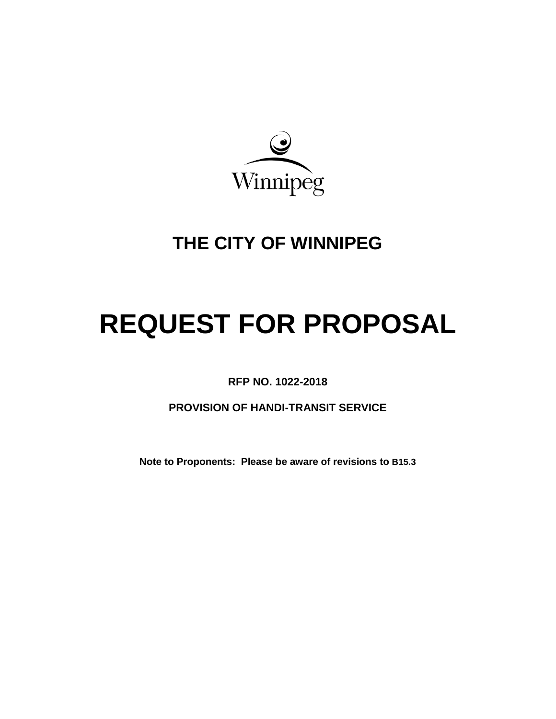

# **THE CITY OF WINNIPEG**

# **REQUEST FOR PROPOSAL**

<span id="page-0-0"></span>**RFP NO. 1022-2018**

**PROVISION OF HANDI-TRANSIT SERVICE**

**Note to Proponents: Please be aware of revisions to [B15.3](#page-9-0)**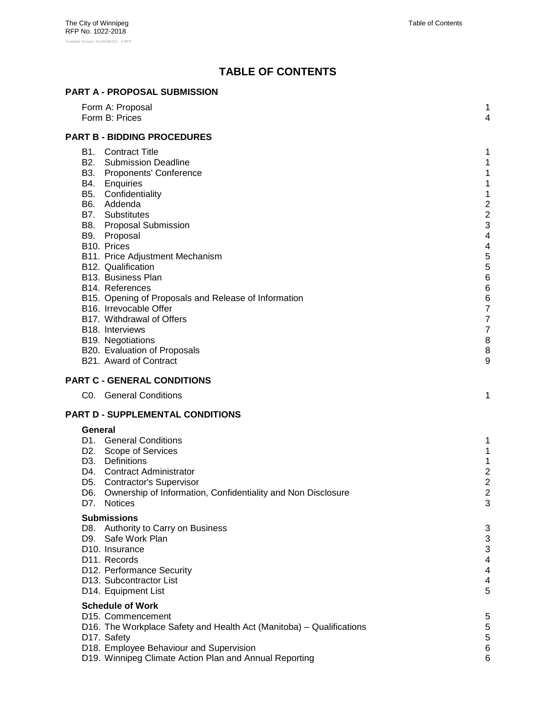# **TABLE OF CONTENTS**

| <b>PART A - PROPOSAL SUBMISSION</b>                                                                                                                                                                                                                                                                                                                                                                                                                                                                                                                                         |                                                                                                                                 |
|-----------------------------------------------------------------------------------------------------------------------------------------------------------------------------------------------------------------------------------------------------------------------------------------------------------------------------------------------------------------------------------------------------------------------------------------------------------------------------------------------------------------------------------------------------------------------------|---------------------------------------------------------------------------------------------------------------------------------|
| Form A: Proposal<br>Form B: Prices                                                                                                                                                                                                                                                                                                                                                                                                                                                                                                                                          | 1<br>4                                                                                                                          |
| <b>PART B - BIDDING PROCEDURES</b>                                                                                                                                                                                                                                                                                                                                                                                                                                                                                                                                          |                                                                                                                                 |
| <b>B1.</b> Contract Title<br><b>B2.</b> Submission Deadline<br>B3. Proponents' Conference<br>B4. Enquiries<br>B5. Confidentiality<br>B6. Addenda<br><b>B7.</b> Substitutes<br><b>B8.</b> Proposal Submission<br>B9. Proposal<br>B10. Prices<br>B11. Price Adjustment Mechanism<br>B12. Qualification<br>B13. Business Plan<br>B14. References<br>B15. Opening of Proposals and Release of Information<br>B16. Irrevocable Offer<br>B17. Withdrawal of Offers<br>B <sub>18</sub> . Interviews<br>B19. Negotiations<br>B20. Evaluation of Proposals<br>B21. Award of Contract | 1<br>1<br>1<br>1<br>1<br>$\overline{c}$<br>$\overline{c}$<br>3<br>4<br>4<br>5<br>5<br>6<br>6<br>6<br>7<br>7<br>7<br>8<br>8<br>9 |
| <b>PART C - GENERAL CONDITIONS</b>                                                                                                                                                                                                                                                                                                                                                                                                                                                                                                                                          |                                                                                                                                 |
| C0. General Conditions                                                                                                                                                                                                                                                                                                                                                                                                                                                                                                                                                      | 1                                                                                                                               |
| <b>PART D - SUPPLEMENTAL CONDITIONS</b>                                                                                                                                                                                                                                                                                                                                                                                                                                                                                                                                     |                                                                                                                                 |
| General<br>D1. General Conditions<br>D2. Scope of Services<br>D3. Definitions<br>D4. Contract Administrator<br>D5. Contractor's Supervisor<br>D6. Ownership of Information, Confidentiality and Non Disclosure<br>D7. Notices                                                                                                                                                                                                                                                                                                                                               | 1<br>1<br>1<br>$\overline{c}$<br>$\overline{c}$<br>2<br>3                                                                       |
| <b>Submissions</b><br>D8. Authority to Carry on Business<br>D9. Safe Work Plan<br>D10. Insurance<br>D11. Records<br>D12. Performance Security<br>D13. Subcontractor List<br>D14. Equipment List<br><b>Schedule of Work</b><br>D <sub>15</sub> . Commencement<br>D16. The Workplace Safety and Health Act (Manitoba) – Qualifications                                                                                                                                                                                                                                        | 3<br>3<br>3<br>4<br>4<br>4<br>5<br>5<br>5                                                                                       |
| D17. Safety<br>D18. Employee Behaviour and Supervision<br>D19. Winnipeg Climate Action Plan and Annual Reporting                                                                                                                                                                                                                                                                                                                                                                                                                                                            | 5<br>6<br>6                                                                                                                     |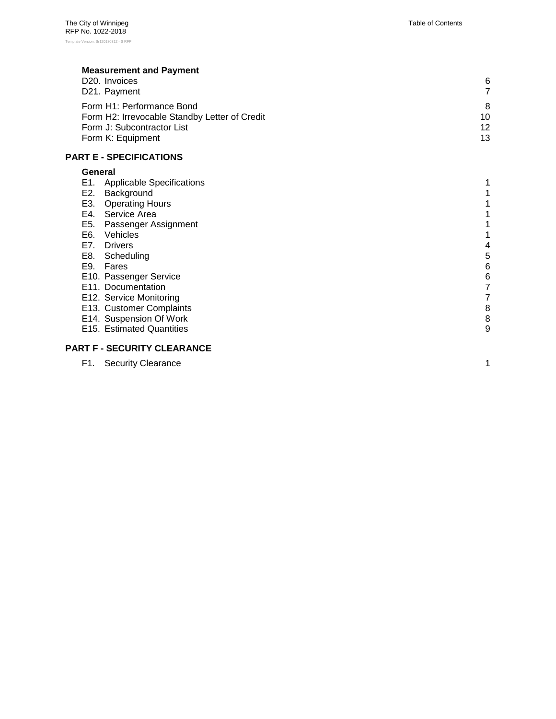## **[Measurement and Payment](#page-18-2)**

| D <sub>20</sub> . Invoices                    | 6               |
|-----------------------------------------------|-----------------|
| D21. Payment                                  |                 |
| Form H1: Performance Bond                     | 8               |
| Form H2: Irrevocable Standby Letter of Credit | 10              |
| Form J: Subcontractor List                    | 12 <sup>°</sup> |
| Form K: Equipment                             | 13              |

#### **PART E - [SPECIFICATIONS](#page-27-0)**

#### **[General](#page-27-1)**

| E1. | <b>Applicable Specifications</b> |   |
|-----|----------------------------------|---|
| E2. | Background                       |   |
| E3. | <b>Operating Hours</b>           |   |
| E4. | Service Area                     |   |
| E5. | Passenger Assignment             |   |
| E6. | Vehicles                         |   |
| E7. | <b>Drivers</b>                   | 4 |
| E8. | Scheduling                       | 5 |
| E9. | Fares                            | 6 |
|     | E10. Passenger Service           | 6 |
|     | E11. Documentation               |   |
|     | E12. Service Monitoring          |   |
|     | E13. Customer Complaints         | 8 |
|     | E14. Suspension Of Work          | 8 |
|     | E15. Estimated Quantities        | 9 |
|     |                                  |   |

#### **PART F - [SECURITY CLEARANCE](#page-37-0)**

| F1. |  | <b>Security Clearance</b> |
|-----|--|---------------------------|
|-----|--|---------------------------|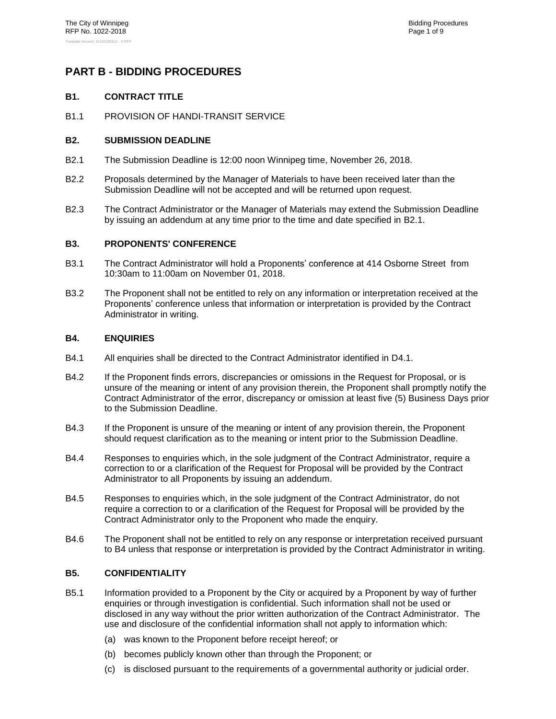## <span id="page-3-1"></span><span id="page-3-0"></span>**PART B - BIDDING PROCEDURES**

#### **B1. CONTRACT TITLE**

<span id="page-3-2"></span>B1.1 PROVISION OF HANDI-TRANSIT SERVICE

#### **B2. SUBMISSION DEADLINE**

- <span id="page-3-6"></span>B2.1 The Submission Deadline is 12:00 noon Winnipeg time, November 26, 2018.
- B2.2 Proposals determined by the Manager of Materials to have been received later than the Submission Deadline will not be accepted and will be returned upon request.
- B2.3 The Contract Administrator or the Manager of Materials may extend the Submission Deadline by issuing an addendum at any time prior to the time and date specified in [B2.1.](#page-3-6)

#### <span id="page-3-3"></span>**B3. PROPONENTS' CONFERENCE**

- B3.1 The Contract Administrator will hold a Proponents' conference at 414 Osborne Street from 10:30am to 11:00am on November 01, 2018.
- B3.2 The Proponent shall not be entitled to rely on any information or interpretation received at the Proponents' conference unless that information or interpretation is provided by the Contract Administrator in writing.

#### <span id="page-3-4"></span>**B4. ENQUIRIES**

- B4.1 All enquiries shall be directed to the Contract Administrator identified in [D4.1](#page-14-0).
- B4.2 If the Proponent finds errors, discrepancies or omissions in the Request for Proposal, or is unsure of the meaning or intent of any provision therein, the Proponent shall promptly notify the Contract Administrator of the error, discrepancy or omission at least five (5) Business Days prior to the Submission Deadline.
- B4.3 If the Proponent is unsure of the meaning or intent of any provision therein, the Proponent should request clarification as to the meaning or intent prior to the Submission Deadline.
- B4.4 Responses to enquiries which, in the sole judgment of the Contract Administrator, require a correction to or a clarification of the Request for Proposal will be provided by the Contract Administrator to all Proponents by issuing an addendum.
- B4.5 Responses to enquiries which, in the sole judgment of the Contract Administrator, do not require a correction to or a clarification of the Request for Proposal will be provided by the Contract Administrator only to the Proponent who made the enquiry.
- B4.6 The Proponent shall not be entitled to rely on any response or interpretation received pursuant to [B4](#page-3-4) unless that response or interpretation is provided by the Contract Administrator in writing.

#### <span id="page-3-5"></span>**B5. CONFIDENTIALITY**

- B5.1 Information provided to a Proponent by the City or acquired by a Proponent by way of further enquiries or through investigation is confidential. Such information shall not be used or disclosed in any way without the prior written authorization of the Contract Administrator. The use and disclosure of the confidential information shall not apply to information which:
	- (a) was known to the Proponent before receipt hereof; or
	- (b) becomes publicly known other than through the Proponent; or
	- (c) is disclosed pursuant to the requirements of a governmental authority or judicial order.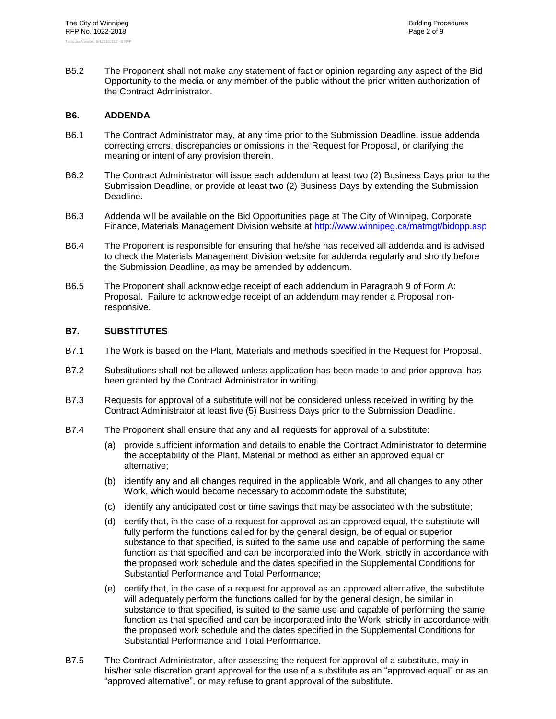B5.2 The Proponent shall not make any statement of fact or opinion regarding any aspect of the Bid Opportunity to the media or any member of the public without the prior written authorization of the Contract Administrator.

#### <span id="page-4-0"></span>**B6. ADDENDA**

- B6.1 The Contract Administrator may, at any time prior to the Submission Deadline, issue addenda correcting errors, discrepancies or omissions in the Request for Proposal, or clarifying the meaning or intent of any provision therein.
- B6.2 The Contract Administrator will issue each addendum at least two (2) Business Days prior to the Submission Deadline, or provide at least two (2) Business Days by extending the Submission Deadline.
- B6.3 Addenda will be available on the Bid Opportunities page at The City of Winnipeg, Corporate Finance, Materials Management Division website at<http://www.winnipeg.ca/matmgt/bidopp.asp>
- B6.4 The Proponent is responsible for ensuring that he/she has received all addenda and is advised to check the Materials Management Division website for addenda regularly and shortly before the Submission Deadline, as may be amended by addendum.
- B6.5 The Proponent shall acknowledge receipt of each addendum in Paragraph [9](#page--1-1) of Form A: Proposal. Failure to acknowledge receipt of an addendum may render a Proposal nonresponsive.

#### <span id="page-4-1"></span>**B7. SUBSTITUTES**

- B7.1 The Work is based on the Plant, Materials and methods specified in the Request for Proposal.
- B7.2 Substitutions shall not be allowed unless application has been made to and prior approval has been granted by the Contract Administrator in writing.
- B7.3 Requests for approval of a substitute will not be considered unless received in writing by the Contract Administrator at least five (5) Business Days prior to the Submission Deadline.
- B7.4 The Proponent shall ensure that any and all requests for approval of a substitute:
	- (a) provide sufficient information and details to enable the Contract Administrator to determine the acceptability of the Plant, Material or method as either an approved equal or alternative;
	- (b) identify any and all changes required in the applicable Work, and all changes to any other Work, which would become necessary to accommodate the substitute;
	- (c) identify any anticipated cost or time savings that may be associated with the substitute;
	- (d) certify that, in the case of a request for approval as an approved equal, the substitute will fully perform the functions called for by the general design, be of equal or superior substance to that specified, is suited to the same use and capable of performing the same function as that specified and can be incorporated into the Work, strictly in accordance with the proposed work schedule and the dates specified in the Supplemental Conditions for Substantial Performance and Total Performance;
	- (e) certify that, in the case of a request for approval as an approved alternative, the substitute will adequately perform the functions called for by the general design, be similar in substance to that specified, is suited to the same use and capable of performing the same function as that specified and can be incorporated into the Work, strictly in accordance with the proposed work schedule and the dates specified in the Supplemental Conditions for Substantial Performance and Total Performance.
- B7.5 The Contract Administrator, after assessing the request for approval of a substitute, may in his/her sole discretion grant approval for the use of a substitute as an "approved equal" or as an "approved alternative", or may refuse to grant approval of the substitute.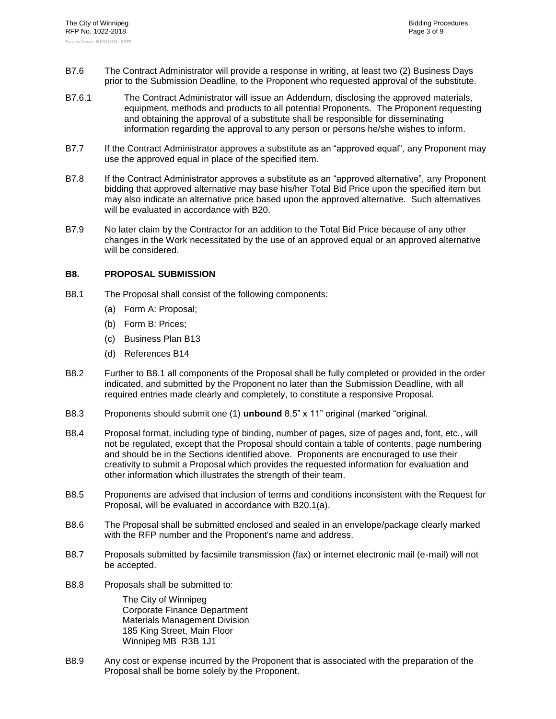- B7.6 The Contract Administrator will provide a response in writing, at least two (2) Business Days prior to the Submission Deadline, to the Proponent who requested approval of the substitute.
- B7.6.1 The Contract Administrator will issue an Addendum, disclosing the approved materials, equipment, methods and products to all potential Proponents. The Proponent requesting and obtaining the approval of a substitute shall be responsible for disseminating information regarding the approval to any person or persons he/she wishes to inform.
- B7.7 If the Contract Administrator approves a substitute as an "approved equal", any Proponent may use the approved equal in place of the specified item.
- B7.8 If the Contract Administrator approves a substitute as an "approved alternative", any Proponent bidding that approved alternative may base his/her Total Bid Price upon the specified item but may also indicate an alternative price based upon the approved alternative. Such alternatives will be evaluated in accordance with [B20.](#page-10-1)
- B7.9 No later claim by the Contractor for an addition to the Total Bid Price because of any other changes in the Work necessitated by the use of an approved equal or an approved alternative will be considered.

#### <span id="page-5-1"></span><span id="page-5-0"></span>**B8. PROPOSAL SUBMISSION**

- B8.1 The Proposal shall consist of the following components:
	- (a) Form A: Proposal;
	- (b) Form B: Prices;
	- (c) Business Plan [B13](#page-8-0)
	- (d) References [B14](#page-8-1)
- B8.2 Further to [B8.1](#page-5-1) all components of the Proposal shall be fully completed or provided in the order indicated, and submitted by the Proponent no later than the Submission Deadline, with all required entries made clearly and completely, to constitute a responsive Proposal.
- B8.3 Proponents should submit one (1) **unbound** 8.5" x 11" original (marked "original.
- B8.4 Proposal format, including type of binding, number of pages, size of pages and, font, etc., will not be regulated, except that the Proposal should contain a table of contents, page numbering and should be in the Sections identified above. Proponents are encouraged to use their creativity to submit a Proposal which provides the requested information for evaluation and other information which illustrates the strength of their team.
- B8.5 Proponents are advised that inclusion of terms and conditions inconsistent with the Request for Proposal, will be evaluated in accordance with [B20.1\(a\).](#page-10-2)
- B8.6 The Proposal shall be submitted enclosed and sealed in an envelope/package clearly marked with the RFP number and the Proponent's name and address.
- B8.7 Proposals submitted by facsimile transmission (fax) or internet electronic mail (e-mail) will not be accepted.
- B8.8 Proposals shall be submitted to:

The City of Winnipeg Corporate Finance Department Materials Management Division 185 King Street, Main Floor Winnipeg MB R3B 1J1

B8.9 Any cost or expense incurred by the Proponent that is associated with the preparation of the Proposal shall be borne solely by the Proponent.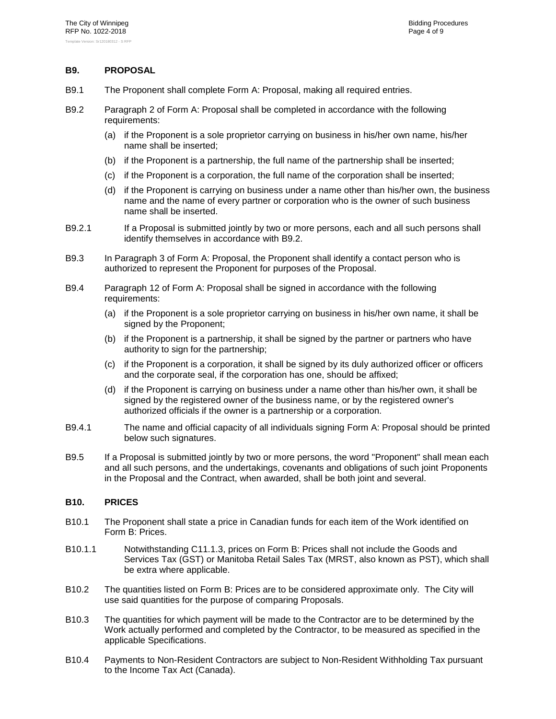#### <span id="page-6-0"></span>**B9. PROPOSAL**

- B9.1 The Proponent shall complete Form A: Proposal, making all required entries.
- <span id="page-6-2"></span>B9.2 Paragraph [2](#page--1-2) of Form A: Proposal shall be completed in accordance with the following requirements:
	- (a) if the Proponent is a sole proprietor carrying on business in his/her own name, his/her name shall be inserted;
	- (b) if the Proponent is a partnership, the full name of the partnership shall be inserted;
	- (c) if the Proponent is a corporation, the full name of the corporation shall be inserted;
	- (d) if the Proponent is carrying on business under a name other than his/her own, the business name and the name of every partner or corporation who is the owner of such business name shall be inserted.
- B9.2.1 If a Proposal is submitted jointly by two or more persons, each and all such persons shall identify themselves in accordance with [B9.2.](#page-6-2)
- B9.3 In Paragraph [3](#page--1-3) of Form A: Proposal, the Proponent shall identify a contact person who is authorized to represent the Proponent for purposes of the Proposal.
- B9.4 Paragraph [12](#page--1-0) of Form A: Proposal shall be signed in accordance with the following requirements:
	- (a) if the Proponent is a sole proprietor carrying on business in his/her own name, it shall be signed by the Proponent;
	- (b) if the Proponent is a partnership, it shall be signed by the partner or partners who have authority to sign for the partnership;
	- (c) if the Proponent is a corporation, it shall be signed by its duly authorized officer or officers and the corporate seal, if the corporation has one, should be affixed;
	- (d) if the Proponent is carrying on business under a name other than his/her own, it shall be signed by the registered owner of the business name, or by the registered owner's authorized officials if the owner is a partnership or a corporation.
- B9.4.1 The name and official capacity of all individuals signing Form A: Proposal should be printed below such signatures.
- B9.5 If a Proposal is submitted jointly by two or more persons, the word "Proponent" shall mean each and all such persons, and the undertakings, covenants and obligations of such joint Proponents in the Proposal and the Contract, when awarded, shall be both joint and several.

#### <span id="page-6-1"></span>**B10. PRICES**

- B10.1 The Proponent shall state a price in Canadian funds for each item of the Work identified on Form B: Prices.
- B10.1.1 Notwithstanding C11.1.3, prices on Form B: Prices shall not include the Goods and Services Tax (GST) or Manitoba Retail Sales Tax (MRST, also known as PST), which shall be extra where applicable.
- B10.2 The quantities listed on Form B: Prices are to be considered approximate only. The City will use said quantities for the purpose of comparing Proposals.
- B10.3 The quantities for which payment will be made to the Contractor are to be determined by the Work actually performed and completed by the Contractor, to be measured as specified in the applicable Specifications.
- B10.4 Payments to Non-Resident Contractors are subject to Non-Resident Withholding Tax pursuant to the Income Tax Act (Canada).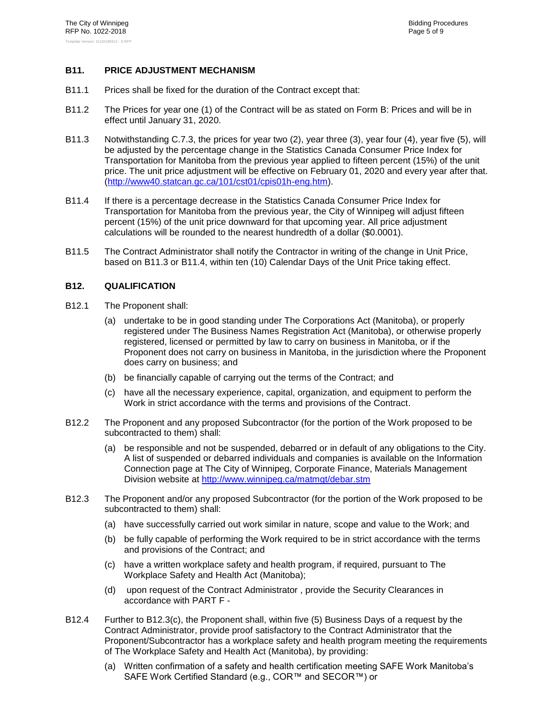#### <span id="page-7-0"></span>**B11. PRICE ADJUSTMENT MECHANISM**

- B11.1 Prices shall be fixed for the duration of the Contract except that:
- B11.2 The Prices for year one (1) of the Contract will be as stated on Form B: Prices and will be in effect until January 31, 2020.
- <span id="page-7-2"></span>B11.3 Notwithstanding C.7.3, the prices for year two (2), year three (3), year four (4), year five (5), will be adjusted by the percentage change in the Statistics Canada Consumer Price Index for Transportation for Manitoba from the previous year applied to fifteen percent (15%) of the unit price. The unit price adjustment will be effective on February 01, 2020 and every year after that. [\(http://www40.statcan.gc.ca/101/cst01/cpis01h-eng.htm\)](http://www40.statcan.gc.ca/101/cst01/cpis01h-eng.htm).
- <span id="page-7-3"></span>B11.4 If there is a percentage decrease in the Statistics Canada Consumer Price Index for Transportation for Manitoba from the previous year, the City of Winnipeg will adjust fifteen percent (15%) of the unit price downward for that upcoming year. All price adjustment calculations will be rounded to the nearest hundredth of a dollar (\$0.0001).
- B11.5 The Contract Administrator shall notify the Contractor in writing of the change in Unit Price, based on [B11.3](#page-7-2) or [B11.4,](#page-7-3) within ten (10) Calendar Days of the Unit Price taking effect.

#### <span id="page-7-1"></span>**B12. QUALIFICATION**

- B12.1 The Proponent shall:
	- (a) undertake to be in good standing under The Corporations Act (Manitoba), or properly registered under The Business Names Registration Act (Manitoba), or otherwise properly registered, licensed or permitted by law to carry on business in Manitoba, or if the Proponent does not carry on business in Manitoba, in the jurisdiction where the Proponent does carry on business; and
	- (b) be financially capable of carrying out the terms of the Contract; and
	- (c) have all the necessary experience, capital, organization, and equipment to perform the Work in strict accordance with the terms and provisions of the Contract.
- B12.2 The Proponent and any proposed Subcontractor (for the portion of the Work proposed to be subcontracted to them) shall:
	- (a) be responsible and not be suspended, debarred or in default of any obligations to the City. A list of suspended or debarred individuals and companies is available on the Information Connection page at The City of Winnipeg, Corporate Finance, Materials Management Division website at<http://www.winnipeg.ca/matmgt/debar.stm>
- <span id="page-7-4"></span>B12.3 The Proponent and/or any proposed Subcontractor (for the portion of the Work proposed to be subcontracted to them) shall:
	- (a) have successfully carried out work similar in nature, scope and value to the Work; and
	- (b) be fully capable of performing the Work required to be in strict accordance with the terms and provisions of the Contract; and
	- (c) have a written workplace safety and health program, if required, pursuant to The Workplace Safety and Health Act (Manitoba);
	- (d) upon request of the Contract Administrator , provide the Security Clearances in accordance with [PART F -](#page-37-0)
- <span id="page-7-5"></span>B12.4 Further to [B12.3\(c\),](#page-7-4) the Proponent shall, within five (5) Business Days of a request by the Contract Administrator, provide proof satisfactory to the Contract Administrator that the Proponent/Subcontractor has a workplace safety and health program meeting the requirements of The Workplace Safety and Health Act (Manitoba), by providing:
	- (a) Written confirmation of a safety and health certification meeting SAFE Work Manitoba's SAFE Work Certified Standard (e.g., COR™ and SECOR™) or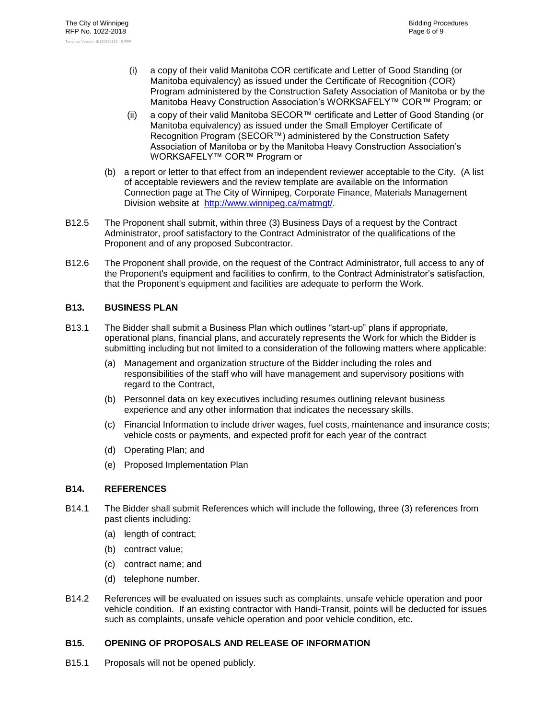- (i) a copy of their valid Manitoba COR certificate and Letter of Good Standing (or Manitoba equivalency) as issued under the Certificate of Recognition (COR) Program administered by the Construction Safety Association of Manitoba or by the Manitoba Heavy Construction Association's WORKSAFELY™ COR™ Program; or
- (ii) a copy of their valid Manitoba SECOR™ certificate and Letter of Good Standing (or Manitoba equivalency) as issued under the Small Employer Certificate of Recognition Program (SECOR™) administered by the Construction Safety Association of Manitoba or by the Manitoba Heavy Construction Association's WORKSAFELY™ COR™ Program or
- (b) a report or letter to that effect from an independent reviewer acceptable to the City. (A list of acceptable reviewers and the review template are available on the Information Connection page at The City of Winnipeg, Corporate Finance, Materials Management Division website at [http://www.winnipeg.ca/matmgt/.](http://www.winnipeg.ca/matmgt/)
- B12.5 The Proponent shall submit, within three (3) Business Days of a request by the Contract Administrator, proof satisfactory to the Contract Administrator of the qualifications of the Proponent and of any proposed Subcontractor.
- B12.6 The Proponent shall provide, on the request of the Contract Administrator, full access to any of the Proponent's equipment and facilities to confirm, to the Contract Administrator's satisfaction, that the Proponent's equipment and facilities are adequate to perform the Work.

#### <span id="page-8-0"></span>**B13. BUSINESS PLAN**

- B13.1 The Bidder shall submit a Business Plan which outlines "start-up" plans if appropriate, operational plans, financial plans, and accurately represents the Work for which the Bidder is submitting including but not limited to a consideration of the following matters where applicable:
	- (a) Management and organization structure of the Bidder including the roles and responsibilities of the staff who will have management and supervisory positions with regard to the Contract,
	- (b) Personnel data on key executives including resumes outlining relevant business experience and any other information that indicates the necessary skills.
	- (c) Financial Information to include driver wages, fuel costs, maintenance and insurance costs; vehicle costs or payments, and expected profit for each year of the contract
	- (d) Operating Plan; and
	- (e) Proposed Implementation Plan

#### <span id="page-8-1"></span>**B14. REFERENCES**

- B14.1 The Bidder shall submit References which will include the following, three (3) references from past clients including:
	- (a) length of contract;
	- (b) contract value;
	- (c) contract name; and
	- (d) telephone number.
- B14.2 References will be evaluated on issues such as complaints, unsafe vehicle operation and poor vehicle condition. If an existing contractor with Handi-Transit, points will be deducted for issues such as complaints, unsafe vehicle operation and poor vehicle condition, etc.

#### <span id="page-8-2"></span>**B15. OPENING OF PROPOSALS AND RELEASE OF INFORMATION**

B15.1 Proposals will not be opened publicly.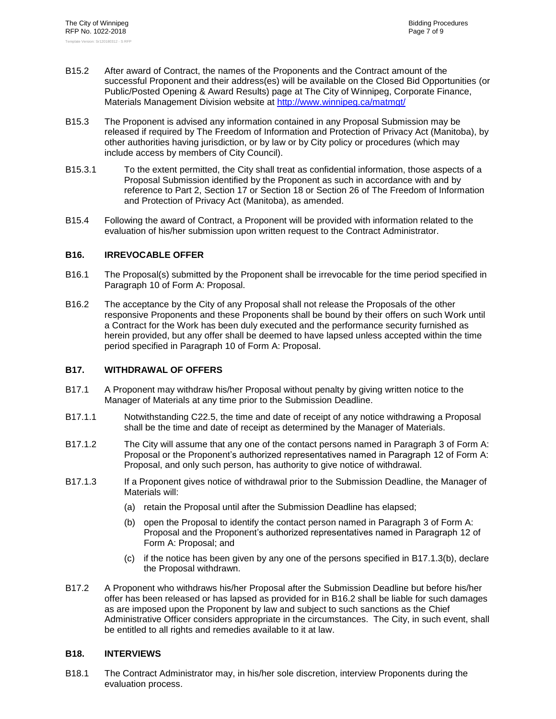- B15.2 After award of Contract, the names of the Proponents and the Contract amount of the successful Proponent and their address(es) will be available on the Closed Bid Opportunities (or Public/Posted Opening & Award Results) page at The City of Winnipeg, Corporate Finance, Materials Management Division website at<http://www.winnipeg.ca/matmgt/>
- <span id="page-9-0"></span>B15.3 The Proponent is advised any information contained in any Proposal Submission may be released if required by The Freedom of Information and Protection of Privacy Act (Manitoba), by other authorities having jurisdiction, or by law or by City policy or procedures (which may include access by members of City Council).
- B15.3.1 To the extent permitted, the City shall treat as confidential information, those aspects of a Proposal Submission identified by the Proponent as such in accordance with and by reference to Part 2, Section 17 or Section 18 or Section 26 of The Freedom of Information and Protection of Privacy Act (Manitoba), as amended.
- B15.4 Following the award of Contract, a Proponent will be provided with information related to the evaluation of his/her submission upon written request to the Contract Administrator.

#### <span id="page-9-1"></span>**B16. IRREVOCABLE OFFER**

- B16.1 The Proposal(s) submitted by the Proponent shall be irrevocable for the time period specified in Paragraph [10](#page--1-4) of Form A: Proposal.
- <span id="page-9-5"></span>B16.2 The acceptance by the City of any Proposal shall not release the Proposals of the other responsive Proponents and these Proponents shall be bound by their offers on such Work until a Contract for the Work has been duly executed and the performance security furnished as herein provided, but any offer shall be deemed to have lapsed unless accepted within the time period specified in Paragraph [10](#page--1-4) of Form A: Proposal.

#### <span id="page-9-2"></span>**B17. WITHDRAWAL OF OFFERS**

- B17.1 A Proponent may withdraw his/her Proposal without penalty by giving written notice to the Manager of Materials at any time prior to the Submission Deadline.
- B17.1.1 Notwithstanding C22.5, the time and date of receipt of any notice withdrawing a Proposal shall be the time and date of receipt as determined by the Manager of Materials.
- B17.1.2 The City will assume that any one of the contact persons named in Paragraph [3](#page--1-3) of Form A: Proposal or the Proponent's authorized representatives named in Paragraph [12](#page--1-0) of Form A: Proposal, and only such person, has authority to give notice of withdrawal.
- <span id="page-9-4"></span>B17.1.3 If a Proponent gives notice of withdrawal prior to the Submission Deadline, the Manager of Materials will:
	- (a) retain the Proposal until after the Submission Deadline has elapsed;
	- (b) open the Proposal to identify the contact person named in Paragraph [3](#page--1-3) of Form A: Proposal and the Proponent's authorized representatives named in Paragraph [12](#page--1-0) of Form A: Proposal; and
	- (c) if the notice has been given by any one of the persons specified in [B17.1.3\(b\),](#page-9-4) declare the Proposal withdrawn.
- B17.2 A Proponent who withdraws his/her Proposal after the Submission Deadline but before his/her offer has been released or has lapsed as provided for in [B16.2](#page-9-5) shall be liable for such damages as are imposed upon the Proponent by law and subject to such sanctions as the Chief Administrative Officer considers appropriate in the circumstances. The City, in such event, shall be entitled to all rights and remedies available to it at law.

#### <span id="page-9-3"></span>**B18. INTERVIEWS**

B18.1 The Contract Administrator may, in his/her sole discretion, interview Proponents during the evaluation process.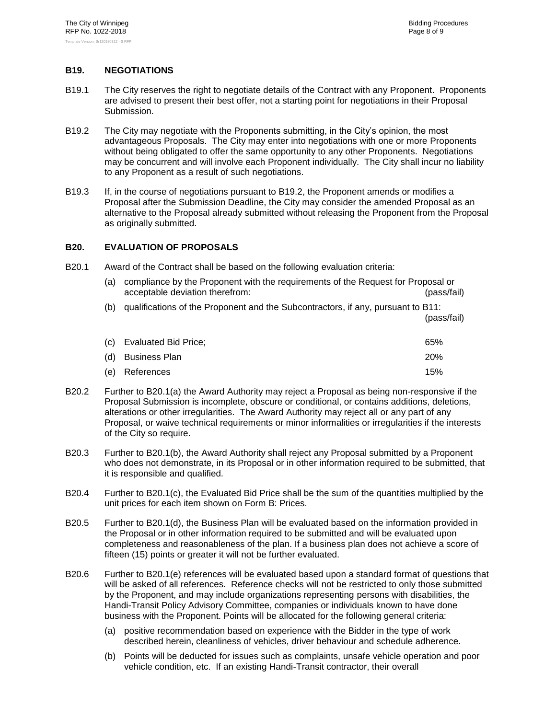#### <span id="page-10-0"></span>**B19. NEGOTIATIONS**

- B19.1 The City reserves the right to negotiate details of the Contract with any Proponent. Proponents are advised to present their best offer, not a starting point for negotiations in their Proposal Submission.
- <span id="page-10-3"></span>B19.2 The City may negotiate with the Proponents submitting, in the City's opinion, the most advantageous Proposals. The City may enter into negotiations with one or more Proponents without being obligated to offer the same opportunity to any other Proponents. Negotiations may be concurrent and will involve each Proponent individually. The City shall incur no liability to any Proponent as a result of such negotiations.
- B19.3 If, in the course of negotiations pursuant to [B19.2,](#page-10-3) the Proponent amends or modifies a Proposal after the Submission Deadline, the City may consider the amended Proposal as an alternative to the Proposal already submitted without releasing the Proponent from the Proposal as originally submitted.

#### <span id="page-10-1"></span>**B20. EVALUATION OF PROPOSALS**

<span id="page-10-4"></span><span id="page-10-2"></span>B20.1 Award of the Contract shall be based on the following evaluation criteria:

| (a) | compliance by the Proponent with the requirements of the Request for Proposal or<br>acceptable deviation therefrom:<br>(pass/fail) |             |  |
|-----|------------------------------------------------------------------------------------------------------------------------------------|-------------|--|
| (b) | qualifications of the Proponent and the Subcontractors, if any, pursuant to B11:                                                   | (pass/fail) |  |
| (c) | Evaluated Bid Price;                                                                                                               | 65%         |  |
| (d) | <b>Business Plan</b>                                                                                                               | <b>20%</b>  |  |
| (e) | References                                                                                                                         | 15%         |  |

- <span id="page-10-7"></span><span id="page-10-6"></span><span id="page-10-5"></span>B20.2 Further to [B20.1\(a\)](#page-10-2) the Award Authority may reject a Proposal as being non-responsive if the Proposal Submission is incomplete, obscure or conditional, or contains additions, deletions, alterations or other irregularities. The Award Authority may reject all or any part of any Proposal, or waive technical requirements or minor informalities or irregularities if the interests of the City so require.
- B20.3 Further to [B20.1\(b\),](#page-10-4) the Award Authority shall reject any Proposal submitted by a Proponent who does not demonstrate, in its Proposal or in other information required to be submitted, that it is responsible and qualified.
- B20.4 Further to [B20.1\(c\),](#page-10-5) the Evaluated Bid Price shall be the sum of the quantities multiplied by the unit prices for each item shown on Form B: Prices.
- B20.5 Further to [B20.1\(d\),](#page-10-6) the Business Plan will be evaluated based on the information provided in the Proposal or in other information required to be submitted and will be evaluated upon completeness and reasonableness of the plan. If a business plan does not achieve a score of fifteen (15) points or greater it will not be further evaluated.
- B20.6 Further to [B20.1\(e\)](#page-10-7) references will be evaluated based upon a standard format of questions that will be asked of all references. Reference checks will not be restricted to only those submitted by the Proponent, and may include organizations representing persons with disabilities, the Handi-Transit Policy Advisory Committee, companies or individuals known to have done business with the Proponent. Points will be allocated for the following general criteria:
	- (a) positive recommendation based on experience with the Bidder in the type of work described herein, cleanliness of vehicles, driver behaviour and schedule adherence.
	- (b) Points will be deducted for issues such as complaints, unsafe vehicle operation and poor vehicle condition, etc. If an existing Handi-Transit contractor, their overall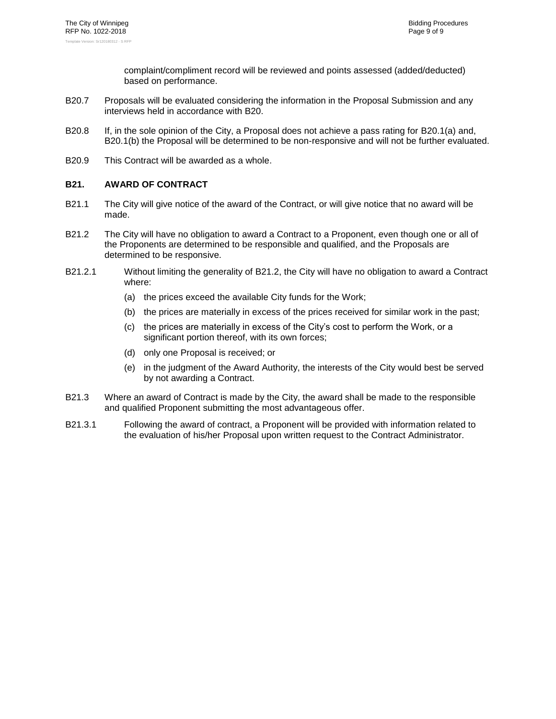complaint/compliment record will be reviewed and points assessed (added/deducted) based on performance.

- B20.7 Proposals will be evaluated considering the information in the Proposal Submission and any interviews held in accordance with [B20.](#page-10-1)
- B20.8 If, in the sole opinion of the City, a Proposal does not achieve a pass rating for [B20.1\(a\)](#page-10-2) and, [B20.1\(b\)](#page-10-4) the Proposal will be determined to be non-responsive and will not be further evaluated.
- <span id="page-11-0"></span>B20.9 This Contract will be awarded as a whole.

#### **B21. AWARD OF CONTRACT**

- B21.1 The City will give notice of the award of the Contract, or will give notice that no award will be made.
- <span id="page-11-1"></span>B21.2 The City will have no obligation to award a Contract to a Proponent, even though one or all of the Proponents are determined to be responsible and qualified, and the Proposals are determined to be responsive.
- B21.2.1 Without limiting the generality of [B21.2,](#page-11-1) the City will have no obligation to award a Contract where:
	- (a) the prices exceed the available City funds for the Work;
	- (b) the prices are materially in excess of the prices received for similar work in the past;
	- (c) the prices are materially in excess of the City's cost to perform the Work, or a significant portion thereof, with its own forces;
	- (d) only one Proposal is received; or
	- (e) in the judgment of the Award Authority, the interests of the City would best be served by not awarding a Contract.
- B21.3 Where an award of Contract is made by the City, the award shall be made to the responsible and qualified Proponent submitting the most advantageous offer.
- B21.3.1 Following the award of contract, a Proponent will be provided with information related to the evaluation of his/her Proposal upon written request to the Contract Administrator.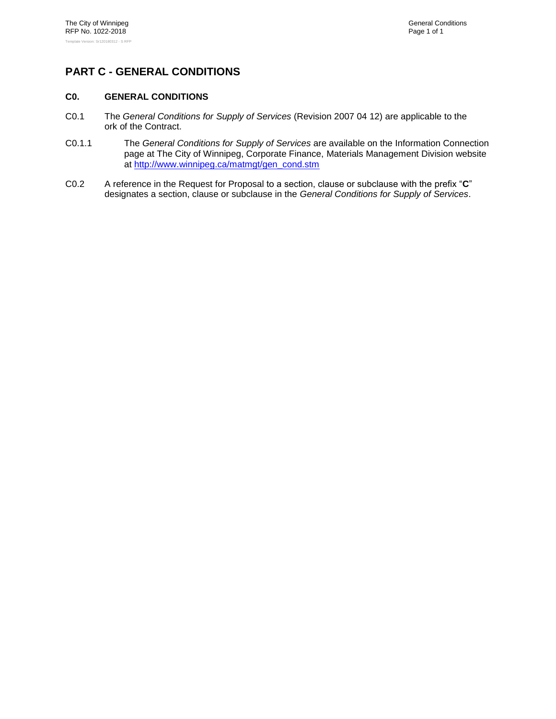# <span id="page-12-1"></span><span id="page-12-0"></span>**PART C - GENERAL CONDITIONS**

#### **C0. GENERAL CONDITIONS**

- C0.1 The *General Conditions for Supply of Services* (Revision 2007 04 12) are applicable to the ork of the Contract.
- C0.1.1 The *General Conditions for Supply of Services* are available on the Information Connection page at The City of Winnipeg, Corporate Finance, Materials Management Division website at [http://www.winnipeg.ca/matmgt/gen\\_cond.stm](http://www.winnipeg.ca/matmgt/gen_cond.stm)
- C0.2 A reference in the Request for Proposal to a section, clause or subclause with the prefix "**C**" designates a section, clause or subclause in the *General Conditions for Supply of Services*.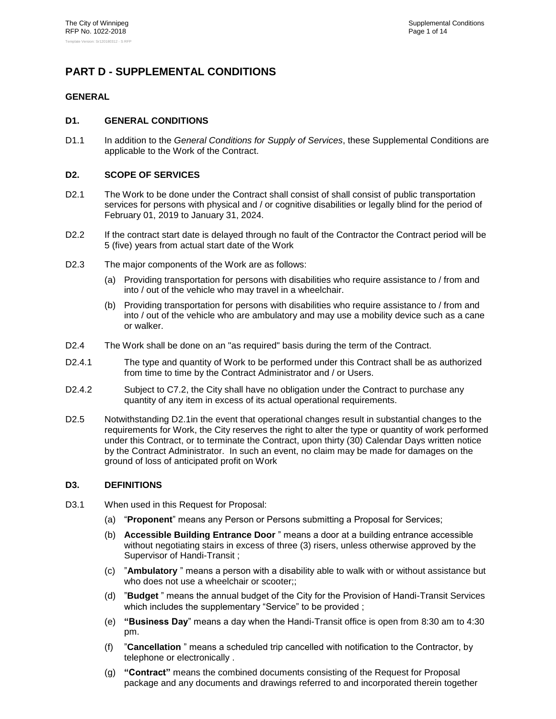# <span id="page-13-1"></span><span id="page-13-0"></span>**PART D - SUPPLEMENTAL CONDITIONS**

#### <span id="page-13-2"></span>**GENERAL**

#### **D1. GENERAL CONDITIONS**

D1.1 In addition to the *General Conditions for Supply of Services*, these Supplemental Conditions are applicable to the Work of the Contract.

#### <span id="page-13-3"></span>**D2. SCOPE OF SERVICES**

- <span id="page-13-5"></span>D2.1 The Work to be done under the Contract shall consist of shall consist of public transportation services for persons with physical and / or cognitive disabilities or legally blind for the period of February 01, 2019 to January 31, 2024.
- D2.2 If the contract start date is delayed through no fault of the Contractor the Contract period will be 5 (five) years from actual start date of the Work
- D2.3 The major components of the Work are as follows:
	- (a) Providing transportation for persons with disabilities who require assistance to / from and into / out of the vehicle who may travel in a wheelchair.
	- (b) Providing transportation for persons with disabilities who require assistance to / from and into / out of the vehicle who are ambulatory and may use a mobility device such as a cane or walker.
- D2.4 The Work shall be done on an "as required" basis during the term of the Contract.
- D2.4.1 The type and quantity of Work to be performed under this Contract shall be as authorized from time to time by the Contract Administrator and / or Users.
- D2.4.2 Subject to C7.2, the City shall have no obligation under the Contract to purchase any quantity of any item in excess of its actual operational requirements.
- D2.5 Notwithstanding [D2.1i](#page-13-5)n the event that operational changes result in substantial changes to the requirements for Work, the City reserves the right to alter the type or quantity of work performed under this Contract, or to terminate the Contract, upon thirty (30) Calendar Days written notice by the Contract Administrator. In such an event, no claim may be made for damages on the ground of loss of anticipated profit on Work

#### <span id="page-13-4"></span>**D3. DEFINITIONS**

- D3.1 When used in this Request for Proposal:
	- (a) "**Proponent**" means any Person or Persons submitting a Proposal for Services;
	- (b) **Accessible Building Entrance Door** " means a door at a building entrance accessible without negotiating stairs in excess of three (3) risers, unless otherwise approved by the Supervisor of Handi-Transit ;
	- (c) "**Ambulatory** " means a person with a disability able to walk with or without assistance but who does not use a wheelchair or scooter;;
	- (d) "**Budget** " means the annual budget of the City for the Provision of Handi-Transit Services which includes the supplementary "Service" to be provided ;
	- (e) **"Business Day**" means a day when the Handi-Transit office is open from 8:30 am to 4:30 pm.
	- (f) "**Cancellation** " means a scheduled trip cancelled with notification to the Contractor, by telephone or electronically .
	- (g) **"Contract"** means the combined documents consisting of the Request for Proposal package and any documents and drawings referred to and incorporated therein together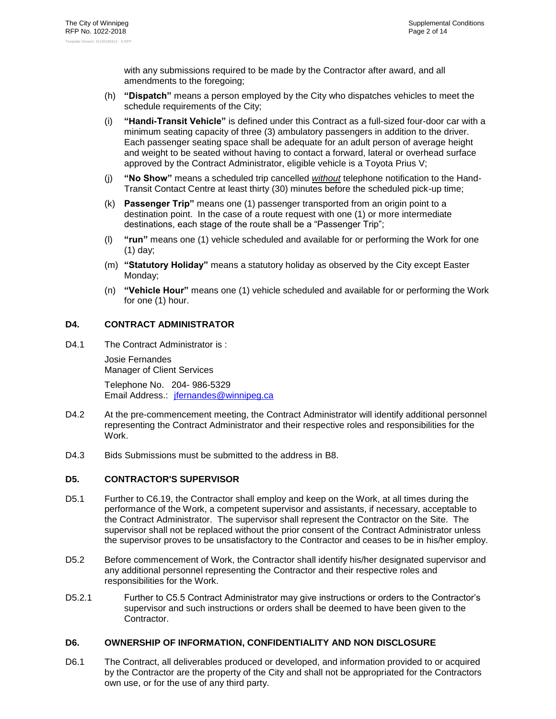with any submissions required to be made by the Contractor after award, and all amendments to the foregoing;

- (h) **"Dispatch"** means a person employed by the City who dispatches vehicles to meet the schedule requirements of the City;
- (i) **"Handi-Transit Vehicle"** is defined under this Contract as a full-sized four-door car with a minimum seating capacity of three (3) ambulatory passengers in addition to the driver. Each passenger seating space shall be adequate for an adult person of average height and weight to be seated without having to contact a forward, lateral or overhead surface approved by the Contract Administrator, eligible vehicle is a Toyota Prius V;
- (j) **"No Show"** means a scheduled trip cancelled *without* telephone notification to the Hand-Transit Contact Centre at least thirty (30) minutes before the scheduled pick-up time;
- (k) **Passenger Trip"** means one (1) passenger transported from an origin point to a destination point. In the case of a route request with one (1) or more intermediate destinations, each stage of the route shall be a "Passenger Trip";
- (l) **"run"** means one (1) vehicle scheduled and available for or performing the Work for one (1) day;
- (m) **"Statutory Holiday"** means a statutory holiday as observed by the City except Easter Monday;
- (n) **"Vehicle Hour"** means one (1) vehicle scheduled and available for or performing the Work for one (1) hour.

#### <span id="page-14-0"></span>**D4. CONTRACT ADMINISTRATOR**

D4.1 The Contract Administrator is:

Josie Fernandes Manager of Client Services

Telephone No. 204- 986-5329 Email Address.: [jfernandes@winnipeg.ca](mailto:jfernandes@winnipeg.ca)

- D4.2 At the pre-commencement meeting, the Contract Administrator will identify additional personnel representing the Contract Administrator and their respective roles and responsibilities for the Work.
- <span id="page-14-1"></span>D4.3 Bids Submissions must be submitted to the address in [B8.](#page-5-0)

#### **D5. CONTRACTOR'S SUPERVISOR**

- D5.1 Further to C6.19, the Contractor shall employ and keep on the Work, at all times during the performance of the Work, a competent supervisor and assistants, if necessary, acceptable to the Contract Administrator. The supervisor shall represent the Contractor on the Site. The supervisor shall not be replaced without the prior consent of the Contract Administrator unless the supervisor proves to be unsatisfactory to the Contractor and ceases to be in his/her employ.
- D5.2 Before commencement of Work, the Contractor shall identify his/her designated supervisor and any additional personnel representing the Contractor and their respective roles and responsibilities for the Work.
- D5.2.1 Further to C5.5 Contract Administrator may give instructions or orders to the Contractor's supervisor and such instructions or orders shall be deemed to have been given to the Contractor.

#### <span id="page-14-2"></span>**D6. OWNERSHIP OF INFORMATION, CONFIDENTIALITY AND NON DISCLOSURE**

D6.1 The Contract, all deliverables produced or developed, and information provided to or acquired by the Contractor are the property of the City and shall not be appropriated for the Contractors own use, or for the use of any third party.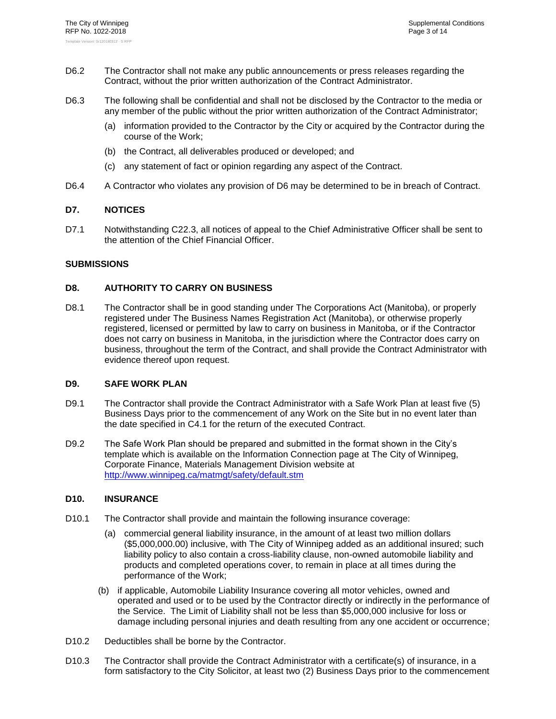- D6.2 The Contractor shall not make any public announcements or press releases regarding the Contract, without the prior written authorization of the Contract Administrator.
- D6.3 The following shall be confidential and shall not be disclosed by the Contractor to the media or any member of the public without the prior written authorization of the Contract Administrator;
	- (a) information provided to the Contractor by the City or acquired by the Contractor during the course of the Work;
	- (b) the Contract, all deliverables produced or developed; and
	- (c) any statement of fact or opinion regarding any aspect of the Contract.
- <span id="page-15-0"></span>D6.4 A Contractor who violates any provision of [D6](#page-14-2) may be determined to be in breach of Contract.

#### **D7. NOTICES**

D7.1 Notwithstanding C22.3, all notices of appeal to the Chief Administrative Officer shall be sent to the attention of the Chief Financial Officer.

#### <span id="page-15-2"></span><span id="page-15-1"></span>**SUBMISSIONS**

#### **D8. AUTHORITY TO CARRY ON BUSINESS**

D8.1 The Contractor shall be in good standing under The Corporations Act (Manitoba), or properly registered under The Business Names Registration Act (Manitoba), or otherwise properly registered, licensed or permitted by law to carry on business in Manitoba, or if the Contractor does not carry on business in Manitoba, in the jurisdiction where the Contractor does carry on business, throughout the term of the Contract, and shall provide the Contract Administrator with evidence thereof upon request.

#### <span id="page-15-3"></span>**D9. SAFE WORK PLAN**

- D9.1 The Contractor shall provide the Contract Administrator with a Safe Work Plan at least five (5) Business Days prior to the commencement of any Work on the Site but in no event later than the date specified in C4.1 for the return of the executed Contract.
- D9.2 The Safe Work Plan should be prepared and submitted in the format shown in the City's template which is available on the Information Connection page at The City of Winnipeg, Corporate Finance, Materials Management Division website at <http://www.winnipeg.ca/matmgt/safety/default.stm>

#### <span id="page-15-4"></span>**D10. INSURANCE**

- D10.1 The Contractor shall provide and maintain the following insurance coverage:
	- (a) commercial general liability insurance, in the amount of at least two million dollars (\$5,000,000.00) inclusive, with The City of Winnipeg added as an additional insured; such liability policy to also contain a cross-liability clause, non-owned automobile liability and products and completed operations cover, to remain in place at all times during the performance of the Work;
	- (b) if applicable, Automobile Liability Insurance covering all motor vehicles, owned and operated and used or to be used by the Contractor directly or indirectly in the performance of the Service. The Limit of Liability shall not be less than \$5,000,000 inclusive for loss or damage including personal injuries and death resulting from any one accident or occurrence;
- D10.2 Deductibles shall be borne by the Contractor.
- D10.3 The Contractor shall provide the Contract Administrator with a certificate(s) of insurance, in a form satisfactory to the City Solicitor, at least two (2) Business Days prior to the commencement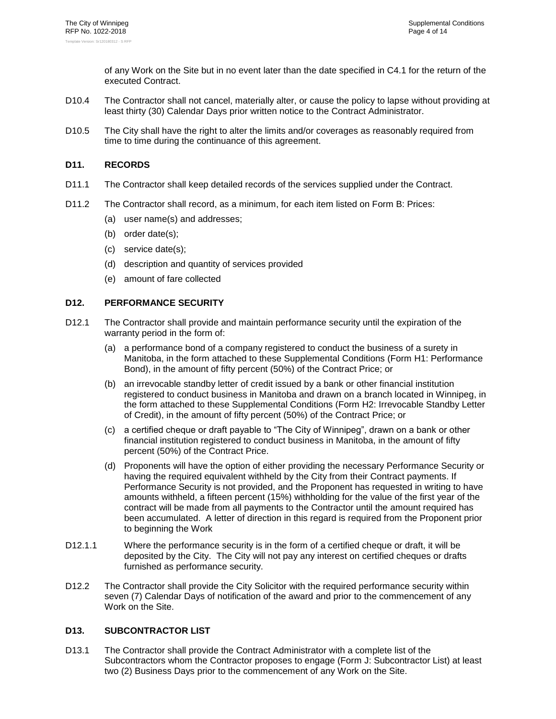of any Work on the Site but in no event later than the date specified in C4.1 for the return of the executed Contract.

- D10.4 The Contractor shall not cancel, materially alter, or cause the policy to lapse without providing at least thirty (30) Calendar Days prior written notice to the Contract Administrator.
- D10.5 The City shall have the right to alter the limits and/or coverages as reasonably required from time to time during the continuance of this agreement.

#### <span id="page-16-0"></span>**D11. RECORDS**

- D11.1 The Contractor shall keep detailed records of the services supplied under the Contract.
- D11.2 The Contractor shall record, as a minimum, for each item listed on Form B: Prices:
	- (a) user name(s) and addresses;
	- (b) order date(s);
	- (c) service date(s);
	- (d) description and quantity of services provided
	- (e) amount of fare collected

#### <span id="page-16-1"></span>**D12. PERFORMANCE SECURITY**

- D12.1 The Contractor shall provide and maintain performance security until the expiration of the warranty period in the form of:
	- (a) a performance bond of a company registered to conduct the business of a surety in Manitoba, in the form attached to these Supplemental Conditions (Form H1: Performance Bond), in the amount of fifty percent (50%) of the Contract Price; or
	- (b) an irrevocable standby letter of credit issued by a bank or other financial institution registered to conduct business in Manitoba and drawn on a branch located in Winnipeg, in the form attached to these Supplemental Conditions (Form H2: Irrevocable Standby Letter of Credit), in the amount of fifty percent (50%) of the Contract Price; or
	- (c) a certified cheque or draft payable to "The City of Winnipeg", drawn on a bank or other financial institution registered to conduct business in Manitoba, in the amount of fifty percent (50%) of the Contract Price.
	- (d) Proponents will have the option of either providing the necessary Performance Security or having the required equivalent withheld by the City from their Contract payments. If Performance Security is not provided, and the Proponent has requested in writing to have amounts withheld, a fifteen percent (15%) withholding for the value of the first year of the contract will be made from all payments to the Contractor until the amount required has been accumulated. A letter of direction in this regard is required from the Proponent prior to beginning the Work
- D12.1.1 Where the performance security is in the form of a certified cheque or draft, it will be deposited by the City. The City will not pay any interest on certified cheques or drafts furnished as performance security.
- D12.2 The Contractor shall provide the City Solicitor with the required performance security within seven (7) Calendar Days of notification of the award and prior to the commencement of any Work on the Site.

#### <span id="page-16-2"></span>**D13. SUBCONTRACTOR LIST**

D13.1 The Contractor shall provide the Contract Administrator with a complete list of the Subcontractors whom the Contractor proposes to engage (Form J: Subcontractor List) at least two (2) Business Days prior to the commencement of any Work on the Site.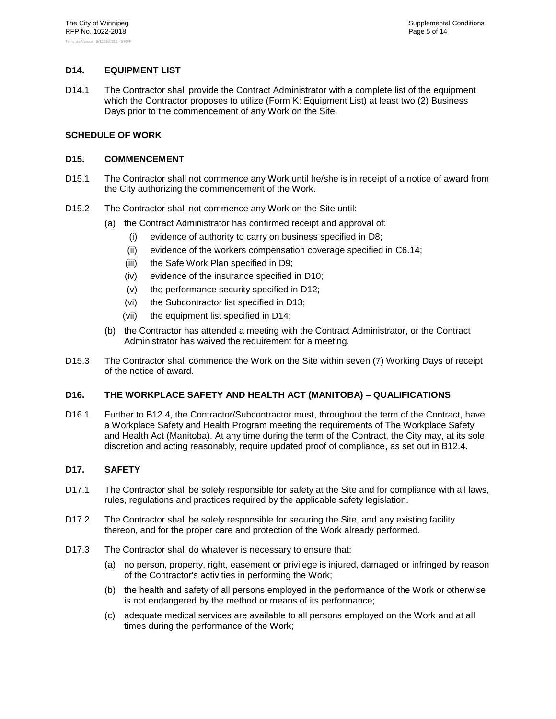#### <span id="page-17-0"></span>**D14. EQUIPMENT LIST**

D14.1 The Contractor shall provide the Contract Administrator with a complete list of the equipment which the Contractor proposes to utilize (Form K: Equipment List) at least two (2) Business Days prior to the commencement of any Work on the Site.

#### <span id="page-17-2"></span><span id="page-17-1"></span>**SCHEDULE OF WORK**

#### **D15. COMMENCEMENT**

- D15.1 The Contractor shall not commence any Work until he/she is in receipt of a notice of award from the City authorizing the commencement of the Work.
- D15.2 The Contractor shall not commence any Work on the Site until:
	- (a) the Contract Administrator has confirmed receipt and approval of:
		- (i) evidence of authority to carry on business specified in [D8;](#page-15-2)
		- (ii) evidence of the workers compensation coverage specified in C6.14;
		- (iii) the Safe Work Plan specified in [D9;](#page-15-3)
		- (iv) evidence of the insurance specified in [D10;](#page-15-4)
		- (v) the performance security specified in [D12;](#page-16-1)
		- (vi) the Subcontractor list specified in [D13;](#page-16-2)
		- (vii) the equipment list specified in [D14;](#page-17-0)
	- (b) the Contractor has attended a meeting with the Contract Administrator, or the Contract Administrator has waived the requirement for a meeting.
- D15.3 The Contractor shall commence the Work on the Site within seven (7) Working Days of receipt of the notice of award.

#### <span id="page-17-3"></span>**D16. THE WORKPLACE SAFETY AND HEALTH ACT (MANITOBA) – QUALIFICATIONS**

D16.1 Further to [B12.4,](#page-7-5) the Contractor/Subcontractor must, throughout the term of the Contract, have a Workplace Safety and Health Program meeting the requirements of The Workplace Safety and Health Act (Manitoba). At any time during the term of the Contract, the City may, at its sole discretion and acting reasonably, require updated proof of compliance, as set out in [B12.4.](#page-7-5)

#### <span id="page-17-4"></span>**D17. SAFETY**

- D17.1 The Contractor shall be solely responsible for safety at the Site and for compliance with all laws, rules, regulations and practices required by the applicable safety legislation.
- D17.2 The Contractor shall be solely responsible for securing the Site, and any existing facility thereon, and for the proper care and protection of the Work already performed.
- D17.3 The Contractor shall do whatever is necessary to ensure that:
	- (a) no person, property, right, easement or privilege is injured, damaged or infringed by reason of the Contractor's activities in performing the Work;
	- (b) the health and safety of all persons employed in the performance of the Work or otherwise is not endangered by the method or means of its performance;
	- (c) adequate medical services are available to all persons employed on the Work and at all times during the performance of the Work;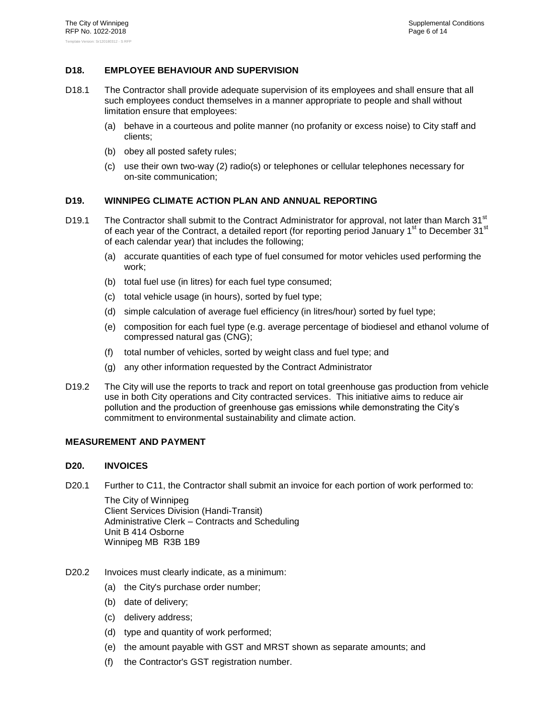#### <span id="page-18-0"></span>**D18. EMPLOYEE BEHAVIOUR AND SUPERVISION**

- D18.1 The Contractor shall provide adequate supervision of its employees and shall ensure that all such employees conduct themselves in a manner appropriate to people and shall without limitation ensure that employees:
	- (a) behave in a courteous and polite manner (no profanity or excess noise) to City staff and clients;
	- (b) obey all posted safety rules;
	- (c) use their own two-way (2) radio(s) or telephones or cellular telephones necessary for on-site communication;

#### <span id="page-18-1"></span>**D19. WINNIPEG CLIMATE ACTION PLAN AND ANNUAL REPORTING**

- D19.1 The Contractor shall submit to the Contract Administrator for approval, not later than March 31<sup>st</sup> of each year of the Contract, a detailed report (for reporting period January 1<sup>st</sup> to December 31<sup>st</sup> of each calendar year) that includes the following;
	- (a) accurate quantities of each type of fuel consumed for motor vehicles used performing the work;
	- (b) total fuel use (in litres) for each fuel type consumed;
	- (c) total vehicle usage (in hours), sorted by fuel type;
	- (d) simple calculation of average fuel efficiency (in litres/hour) sorted by fuel type;
	- (e) composition for each fuel type (e.g. average percentage of biodiesel and ethanol volume of compressed natural gas (CNG);
	- (f) total number of vehicles, sorted by weight class and fuel type; and
	- (g) any other information requested by the Contract Administrator
- D19.2 The City will use the reports to track and report on total greenhouse gas production from vehicle use in both City operations and City contracted services. This initiative aims to reduce air pollution and the production of greenhouse gas emissions while demonstrating the City's commitment to environmental sustainability and climate action.

#### <span id="page-18-3"></span><span id="page-18-2"></span>**MEASUREMENT AND PAYMENT**

#### **D20. INVOICES**

D20.1 Further to C11, the Contractor shall submit an invoice for each portion of work performed to:

The City of Winnipeg Client Services Division (Handi-Transit) Administrative Clerk – Contracts and Scheduling Unit B 414 Osborne Winnipeg MB R3B 1B9

- D20.2 Invoices must clearly indicate, as a minimum:
	- (a) the City's purchase order number;
	- (b) date of delivery;
	- (c) delivery address;
	- (d) type and quantity of work performed;
	- (e) the amount payable with GST and MRST shown as separate amounts; and
	- (f) the Contractor's GST registration number.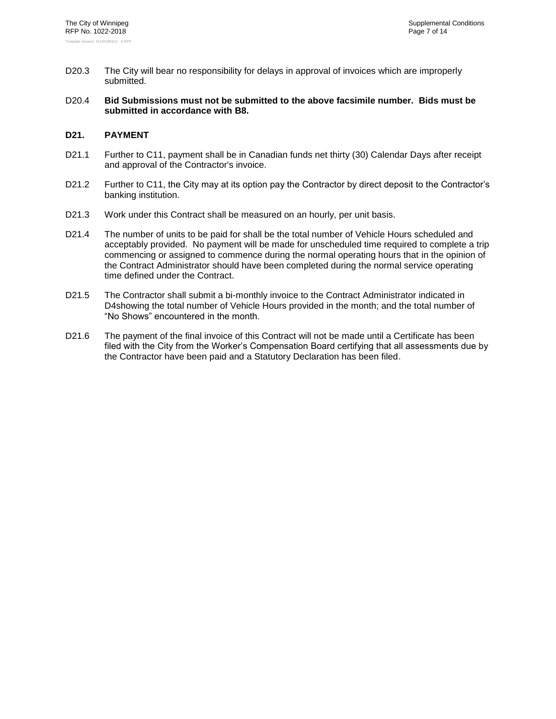- D20.3 The City will bear no responsibility for delays in approval of invoices which are improperly submitted.
- D20.4 **Bid Submissions must not be submitted to the above facsimile number. Bids must be submitted in accordance with [B8.](#page-5-0)**

#### <span id="page-19-0"></span>**D21. PAYMENT**

- D21.1 Further to C11, payment shall be in Canadian funds net thirty (30) Calendar Days after receipt and approval of the Contractor's invoice.
- D21.2 Further to C11, the City may at its option pay the Contractor by direct deposit to the Contractor's banking institution.
- D21.3 Work under this Contract shall be measured on an hourly, per unit basis.
- D21.4 The number of units to be paid for shall be the total number of Vehicle Hours scheduled and acceptably provided. No payment will be made for unscheduled time required to complete a trip commencing or assigned to commence during the normal operating hours that in the opinion of the Contract Administrator should have been completed during the normal service operating time defined under the Contract.
- D21.5 The Contractor shall submit a bi-monthly invoice to the Contract Administrator indicated in [D4s](#page-14-0)howing the total number of Vehicle Hours provided in the month; and the total number of "No Shows" encountered in the month.
- D21.6 The payment of the final invoice of this Contract will not be made until a Certificate has been filed with the City from the Worker's Compensation Board certifying that all assessments due by the Contractor have been paid and a Statutory Declaration has been filed.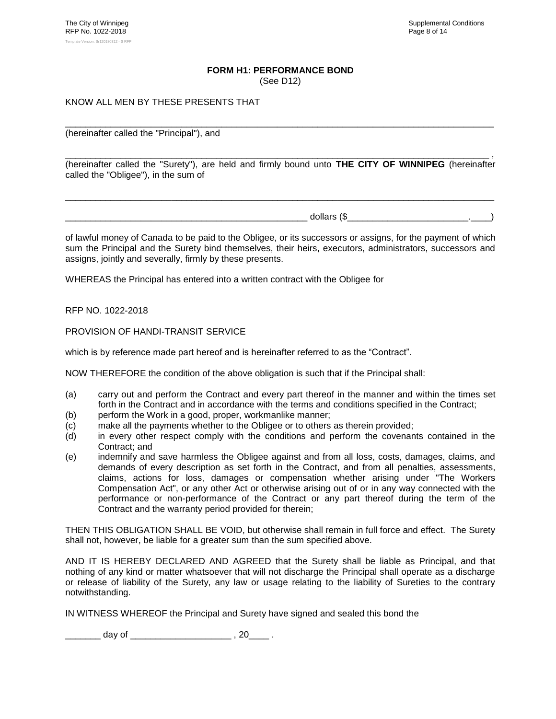#### **FORM H1: PERFORMANCE BOND**

(See [D12\)](#page-16-1)

\_\_\_\_\_\_\_\_\_\_\_\_\_\_\_\_\_\_\_\_\_\_\_\_\_\_\_\_\_\_\_\_\_\_\_\_\_\_\_\_\_\_\_\_\_\_\_\_\_\_\_\_\_\_\_\_\_\_\_\_\_\_\_\_\_\_\_\_\_\_\_\_\_\_\_\_\_\_\_\_\_\_\_\_\_

#### <span id="page-20-0"></span>KNOW ALL MEN BY THESE PRESENTS THAT

(hereinafter called the "Principal"), and

\_\_\_\_\_\_\_\_\_\_\_\_\_\_\_\_\_\_\_\_\_\_\_\_\_\_\_\_\_\_\_\_\_\_\_\_\_\_\_\_\_\_\_\_\_\_\_\_\_\_\_\_\_\_\_\_\_\_\_\_\_\_\_\_\_\_\_\_\_\_\_\_\_\_\_\_\_\_\_\_\_\_\_\_ , (hereinafter called the "Surety"), are held and firmly bound unto **THE CITY OF WINNIPEG** (hereinafter called the "Obligee"), in the sum of

\_\_\_\_\_\_\_\_\_\_\_\_\_\_\_\_\_\_\_\_\_\_\_\_\_\_\_\_\_\_\_\_\_\_\_\_\_\_\_\_\_\_\_\_\_\_\_\_\_\_\_\_\_\_\_\_\_\_\_\_\_\_\_\_\_\_\_\_\_\_\_\_\_\_\_\_\_\_\_\_\_\_\_\_\_

\_\_\_\_\_\_\_\_\_\_\_\_\_\_\_\_\_\_\_\_\_\_\_\_\_\_\_\_\_\_\_\_\_\_\_\_\_\_\_\_\_\_\_\_\_\_\_\_ dollars (\$\_\_\_\_\_\_\_\_\_\_\_\_\_\_\_\_\_\_\_\_\_\_\_\_.\_\_\_\_)

of lawful money of Canada to be paid to the Obligee, or its successors or assigns, for the payment of which sum the Principal and the Surety bind themselves, their heirs, executors, administrators, successors and assigns, jointly and severally, firmly by these presents.

WHEREAS the Principal has entered into a written contract with the Obligee for

RFP NO. [1022-2018](#page-0-0)

PROVISION OF HANDI-TRANSIT SERVICE

which is by reference made part hereof and is hereinafter referred to as the "Contract".

NOW THEREFORE the condition of the above obligation is such that if the Principal shall:

- (a) carry out and perform the Contract and every part thereof in the manner and within the times set forth in the Contract and in accordance with the terms and conditions specified in the Contract;
- (b) perform the Work in a good, proper, workmanlike manner;
- (c) make all the payments whether to the Obligee or to others as therein provided;
- (d) in every other respect comply with the conditions and perform the covenants contained in the Contract; and
- (e) indemnify and save harmless the Obligee against and from all loss, costs, damages, claims, and demands of every description as set forth in the Contract, and from all penalties, assessments, claims, actions for loss, damages or compensation whether arising under "The Workers Compensation Act", or any other Act or otherwise arising out of or in any way connected with the performance or non-performance of the Contract or any part thereof during the term of the Contract and the warranty period provided for therein;

THEN THIS OBLIGATION SHALL BE VOID, but otherwise shall remain in full force and effect. The Surety shall not, however, be liable for a greater sum than the sum specified above.

AND IT IS HEREBY DECLARED AND AGREED that the Surety shall be liable as Principal, and that nothing of any kind or matter whatsoever that will not discharge the Principal shall operate as a discharge or release of liability of the Surety, any law or usage relating to the liability of Sureties to the contrary notwithstanding.

IN WITNESS WHEREOF the Principal and Surety have signed and sealed this bond the

 $\frac{1}{2}$  day of  $\frac{1}{2}$  , 20  $\frac{1}{2}$  .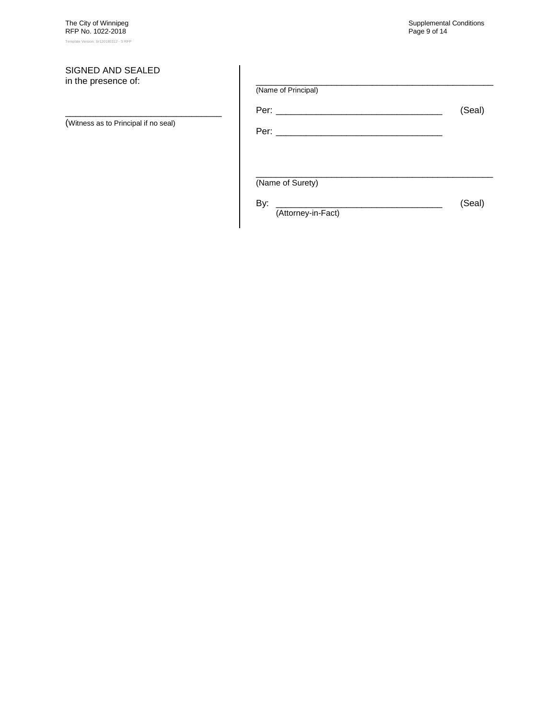#### SIGNED AND SEALED in the presence of:

(Witness as to Principal if no seal)

\_\_\_\_\_\_\_\_\_\_\_\_\_\_\_\_\_\_\_\_\_\_\_\_\_\_\_\_\_\_\_

| (Name of Principal)       |        |
|---------------------------|--------|
|                           | (Seal) |
|                           |        |
|                           |        |
| (Name of Surety)          |        |
| By:<br>(Attorney-in-Fact) | (Seal) |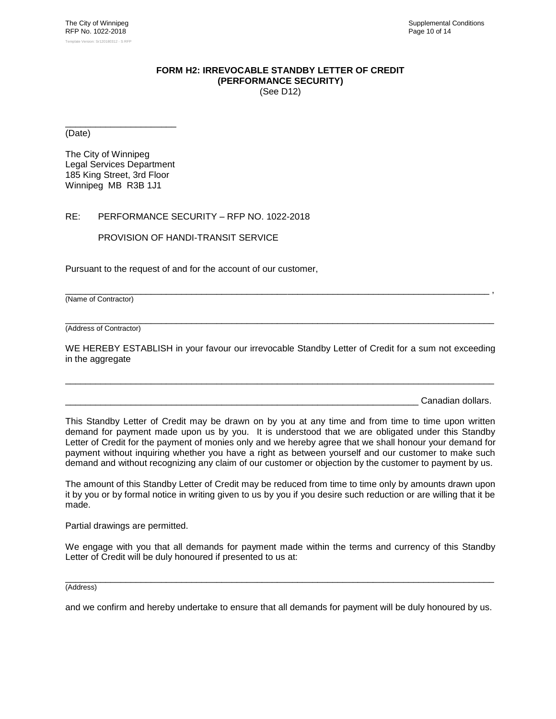#### **FORM H2: IRREVOCABLE STANDBY LETTER OF CREDIT (PERFORMANCE SECURITY)** (See [D12\)](#page-16-1)

<span id="page-22-0"></span>\_\_\_\_\_\_\_\_\_\_\_\_\_\_\_\_\_\_\_\_\_\_ (Date)

The City of Winnipeg Legal Services Department 185 King Street, 3rd Floor Winnipeg MB R3B 1J1

#### RE: PERFORMANCE SECURITY – RFP NO. [1022-2018](#page-0-0)

PROVISION OF HANDI-TRANSIT SERVICE

Pursuant to the request of and for the account of our customer,

(Name of Contractor)

\_\_\_\_\_\_\_\_\_\_\_\_\_\_\_\_\_\_\_\_\_\_\_\_\_\_\_\_\_\_\_\_\_\_\_\_\_\_\_\_\_\_\_\_\_\_\_\_\_\_\_\_\_\_\_\_\_\_\_\_\_\_\_\_\_\_\_\_\_\_\_\_\_\_\_\_\_\_\_\_\_\_\_\_\_ (Address of Contractor)

WE HEREBY ESTABLISH in your favour our irrevocable Standby Letter of Credit for a sum not exceeding in the aggregate

\_\_\_\_\_\_\_\_\_\_\_\_\_\_\_\_\_\_\_\_\_\_\_\_\_\_\_\_\_\_\_\_\_\_\_\_\_\_\_\_\_\_\_\_\_\_\_\_\_\_\_\_\_\_\_\_\_\_\_\_\_\_\_\_\_\_\_\_\_\_\_\_\_\_\_\_\_\_\_\_\_\_\_\_\_

\_\_\_\_\_\_\_\_\_\_\_\_\_\_\_\_\_\_\_\_\_\_\_\_\_\_\_\_\_\_\_\_\_\_\_\_\_\_\_\_\_\_\_\_\_\_\_\_\_\_\_\_\_\_\_\_\_\_\_\_\_\_\_\_\_\_\_\_\_\_\_\_\_\_\_\_\_\_\_\_\_\_\_\_ ,

Canadian dollars.

This Standby Letter of Credit may be drawn on by you at any time and from time to time upon written demand for payment made upon us by you. It is understood that we are obligated under this Standby Letter of Credit for the payment of monies only and we hereby agree that we shall honour your demand for payment without inquiring whether you have a right as between yourself and our customer to make such demand and without recognizing any claim of our customer or objection by the customer to payment by us.

The amount of this Standby Letter of Credit may be reduced from time to time only by amounts drawn upon it by you or by formal notice in writing given to us by you if you desire such reduction or are willing that it be made.

Partial drawings are permitted.

We engage with you that all demands for payment made within the terms and currency of this Standby Letter of Credit will be duly honoured if presented to us at:

\_\_\_\_\_\_\_\_\_\_\_\_\_\_\_\_\_\_\_\_\_\_\_\_\_\_\_\_\_\_\_\_\_\_\_\_\_\_\_\_\_\_\_\_\_\_\_\_\_\_\_\_\_\_\_\_\_\_\_\_\_\_\_\_\_\_\_\_\_\_\_\_\_\_\_\_\_\_\_\_\_\_\_\_\_ (Address)

and we confirm and hereby undertake to ensure that all demands for payment will be duly honoured by us.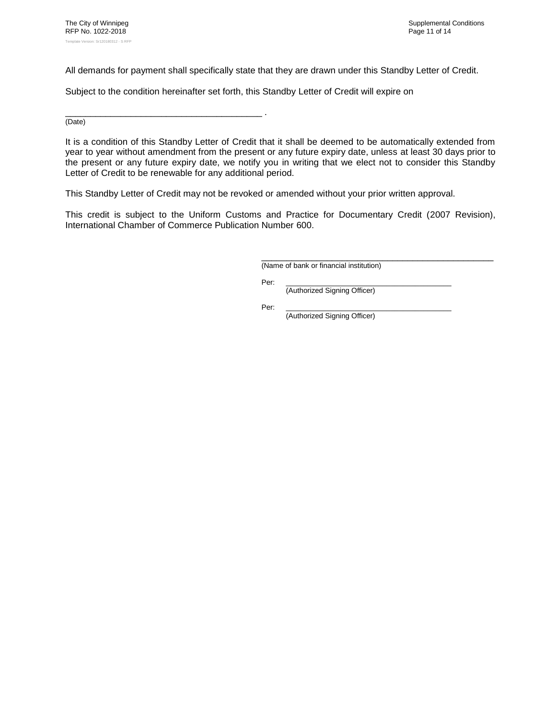All demands for payment shall specifically state that they are drawn under this Standby Letter of Credit.

Subject to the condition hereinafter set forth, this Standby Letter of Credit will expire on

\_\_\_\_\_\_\_\_\_\_\_\_\_\_\_\_\_\_\_\_\_\_\_\_\_\_\_\_\_\_\_\_\_\_\_\_\_\_\_ . (Date)

It is a condition of this Standby Letter of Credit that it shall be deemed to be automatically extended from year to year without amendment from the present or any future expiry date, unless at least 30 days prior to the present or any future expiry date, we notify you in writing that we elect not to consider this Standby Letter of Credit to be renewable for any additional period.

This Standby Letter of Credit may not be revoked or amended without your prior written approval.

This credit is subject to the Uniform Customs and Practice for Documentary Credit (2007 Revision), International Chamber of Commerce Publication Number 600.

> \_\_\_\_\_\_\_\_\_\_\_\_\_\_\_\_\_\_\_\_\_\_\_\_\_\_\_\_\_\_\_\_\_\_\_\_\_\_\_\_\_\_\_\_\_\_ (Name of bank or financial institution)

Per: \_\_\_\_\_\_\_\_\_\_\_\_\_\_\_\_\_\_\_\_\_\_\_\_\_\_\_\_\_\_\_\_\_\_\_\_\_\_\_\_\_

(Authorized Signing Officer)

Per: \_\_\_\_\_\_\_\_\_\_\_\_\_\_\_\_\_\_\_\_\_\_\_\_\_\_\_\_\_\_\_\_\_\_\_\_\_\_\_\_\_ (Authorized Signing Officer)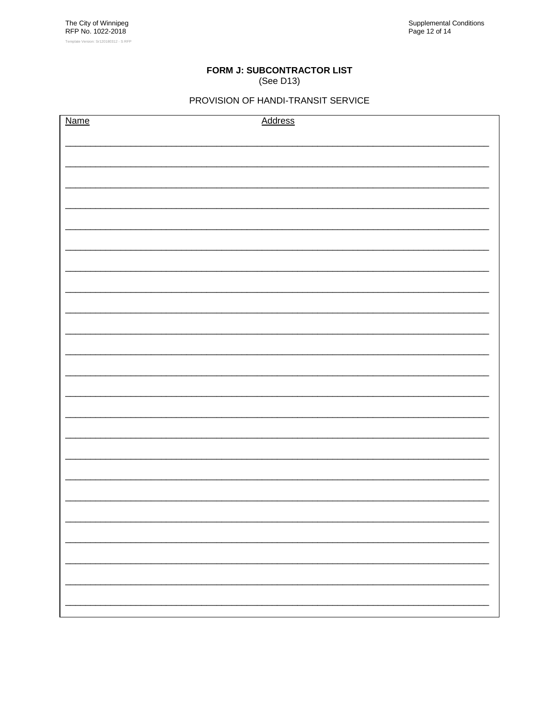# FORM J: SUBCONTRACTOR LIST

(See D13)

## PROVISION OF HANDI-TRANSIT SERVICE

<span id="page-24-0"></span>

| <b>Name</b> | Address |
|-------------|---------|
|             |         |
|             |         |
|             |         |
|             |         |
|             |         |
|             |         |
|             |         |
|             |         |
|             |         |
|             |         |
|             |         |
|             |         |
|             |         |
|             |         |
|             |         |
|             |         |
|             |         |
|             |         |
|             |         |
|             |         |
|             |         |
|             |         |
|             |         |
|             |         |
|             |         |
|             |         |
|             |         |
|             |         |
|             |         |
|             |         |
|             |         |
|             |         |
|             |         |
|             |         |
|             |         |
|             |         |
|             |         |
|             |         |
|             |         |
|             |         |
|             |         |
|             |         |
|             |         |
|             |         |
|             |         |
|             |         |
|             |         |
|             |         |
|             |         |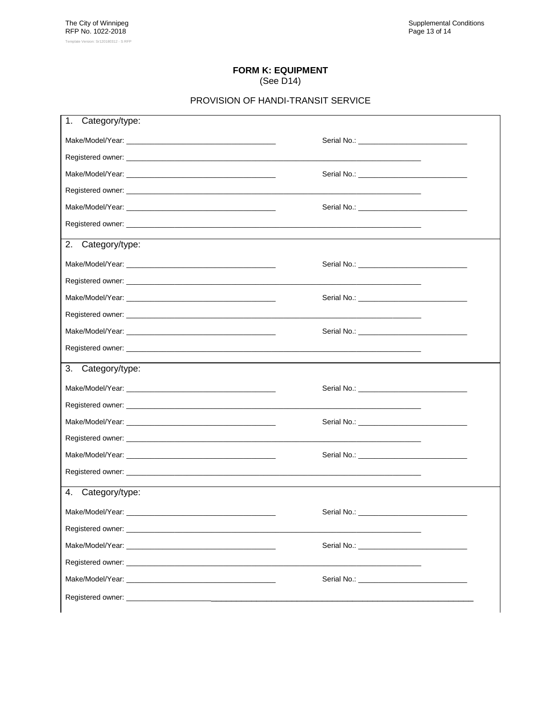#### **FORM K: EQUIPMENT** (See D14)

#### PROVISION OF HANDI-TRANSIT SERVICE

<span id="page-25-0"></span>

| 1.<br>Category/type:                                                                                                                                                                                                           |                                                             |  |
|--------------------------------------------------------------------------------------------------------------------------------------------------------------------------------------------------------------------------------|-------------------------------------------------------------|--|
|                                                                                                                                                                                                                                |                                                             |  |
|                                                                                                                                                                                                                                |                                                             |  |
|                                                                                                                                                                                                                                |                                                             |  |
|                                                                                                                                                                                                                                |                                                             |  |
|                                                                                                                                                                                                                                |                                                             |  |
|                                                                                                                                                                                                                                |                                                             |  |
| 2.<br>Category/type:                                                                                                                                                                                                           |                                                             |  |
|                                                                                                                                                                                                                                |                                                             |  |
|                                                                                                                                                                                                                                | the control of the control of the control of the control of |  |
|                                                                                                                                                                                                                                |                                                             |  |
|                                                                                                                                                                                                                                |                                                             |  |
|                                                                                                                                                                                                                                |                                                             |  |
|                                                                                                                                                                                                                                |                                                             |  |
| 3.<br>Category/type:                                                                                                                                                                                                           |                                                             |  |
| Make/Model/Year: National Account of the Contract of the Contract of the Contract of the Contract of the Contract of the Contract of the Contract of the Contract of the Contract of the Contract of the Contract of the Contr |                                                             |  |
|                                                                                                                                                                                                                                |                                                             |  |
|                                                                                                                                                                                                                                |                                                             |  |
|                                                                                                                                                                                                                                |                                                             |  |
|                                                                                                                                                                                                                                |                                                             |  |
|                                                                                                                                                                                                                                |                                                             |  |
| 4.<br>Category/type:                                                                                                                                                                                                           |                                                             |  |
|                                                                                                                                                                                                                                |                                                             |  |
|                                                                                                                                                                                                                                |                                                             |  |
| Make/Model/Year: National Accounts and Accounts and Accounts and Accounts and Accounts and Accounts and Accounts and Accounts and Accounts and Accounts and Accounts and Accounts and Accounts and Accounts and Accounts and A |                                                             |  |
|                                                                                                                                                                                                                                |                                                             |  |
|                                                                                                                                                                                                                                |                                                             |  |
| Registered owner: Neglection and the state of the state of the state of the state of the state of the state of the state of the state of the state of the state of the state of the state of the state of the state of the sta |                                                             |  |
|                                                                                                                                                                                                                                |                                                             |  |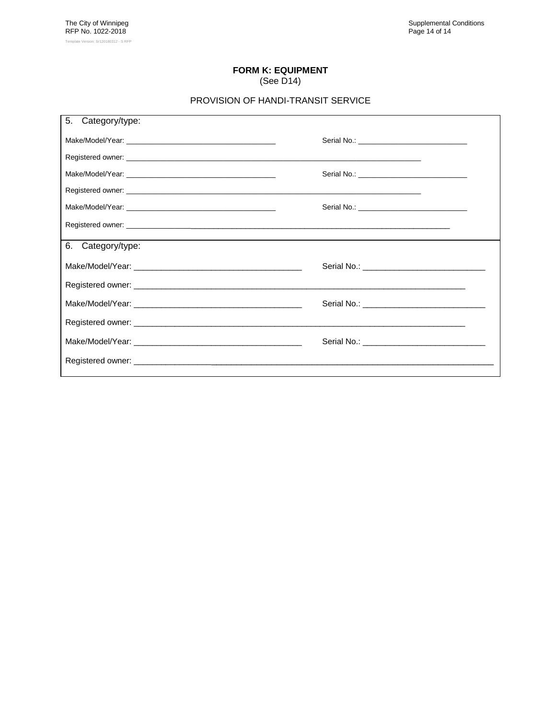# **FORM K: EQUIPMENT**

# (See [D14\)](#page-17-0)

#### PROVISION OF HANDI-TRANSIT SERVICE

| 5.<br>Category/type: |                                                |
|----------------------|------------------------------------------------|
|                      |                                                |
|                      |                                                |
|                      |                                                |
|                      |                                                |
|                      | Serial No.: __________________________________ |
|                      |                                                |
| 6. Category/type:    |                                                |
|                      |                                                |
|                      |                                                |
|                      |                                                |
|                      |                                                |
|                      |                                                |
|                      |                                                |
|                      |                                                |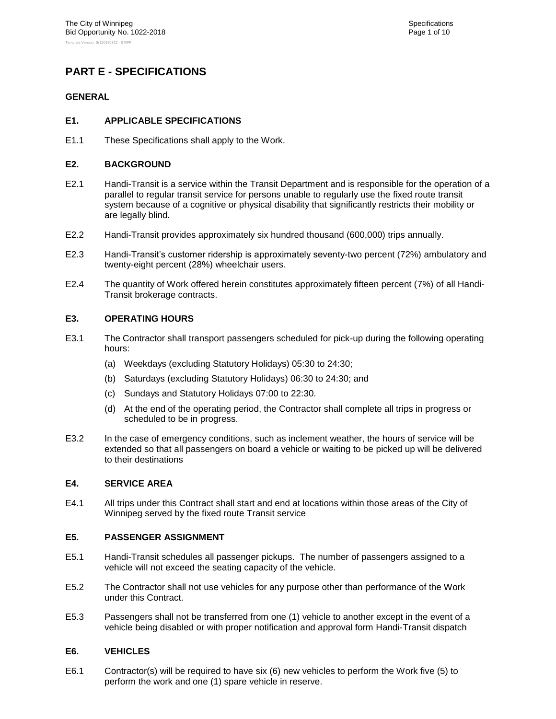## <span id="page-27-1"></span><span id="page-27-0"></span>**PART E - SPECIFICATIONS**

#### <span id="page-27-2"></span>**GENERAL**

#### **E1. APPLICABLE SPECIFICATIONS**

<span id="page-27-3"></span>E1.1 These Specifications shall apply to the Work.

#### **E2. BACKGROUND**

- E2.1 Handi-Transit is a service within the Transit Department and is responsible for the operation of a parallel to regular transit service for persons unable to regularly use the fixed route transit system because of a cognitive or physical disability that significantly restricts their mobility or are legally blind.
- E2.2 Handi-Transit provides approximately six hundred thousand (600,000) trips annually.
- E2.3 Handi-Transit's customer ridership is approximately seventy-two percent (72%) ambulatory and twenty-eight percent (28%) wheelchair users.
- E2.4 The quantity of Work offered herein constitutes approximately fifteen percent (7%) of all Handi-Transit brokerage contracts.

#### <span id="page-27-4"></span>**E3. OPERATING HOURS**

- E3.1 The Contractor shall transport passengers scheduled for pick-up during the following operating hours:
	- (a) Weekdays (excluding Statutory Holidays) 05:30 to 24:30;
	- (b) Saturdays (excluding Statutory Holidays) 06:30 to 24:30; and
	- (c) Sundays and Statutory Holidays 07:00 to 22:30.
	- (d) At the end of the operating period, the Contractor shall complete all trips in progress or scheduled to be in progress.
- E3.2 In the case of emergency conditions, such as inclement weather, the hours of service will be extended so that all passengers on board a vehicle or waiting to be picked up will be delivered to their destinations

#### <span id="page-27-5"></span>**E4. SERVICE AREA**

E4.1 All trips under this Contract shall start and end at locations within those areas of the City of Winnipeg served by the fixed route Transit service

#### <span id="page-27-6"></span>**E5. PASSENGER ASSIGNMENT**

- E5.1 Handi-Transit schedules all passenger pickups. The number of passengers assigned to a vehicle will not exceed the seating capacity of the vehicle.
- E5.2 The Contractor shall not use vehicles for any purpose other than performance of the Work under this Contract.
- E5.3 Passengers shall not be transferred from one (1) vehicle to another except in the event of a vehicle being disabled or with proper notification and approval form Handi-Transit dispatch

#### <span id="page-27-7"></span>**E6. VEHICLES**

E6.1 Contractor(s) will be required to have six (6) new vehicles to perform the Work five (5) to perform the work and one (1) spare vehicle in reserve.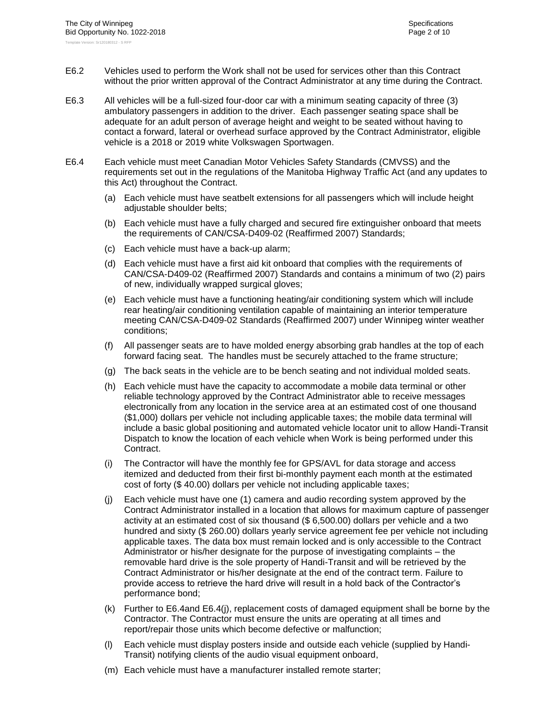- E6.2 Vehicles used to perform the Work shall not be used for services other than this Contract without the prior written approval of the Contract Administrator at any time during the Contract.
- E6.3 All vehicles will be a full-sized four-door car with a minimum seating capacity of three (3) ambulatory passengers in addition to the driver. Each passenger seating space shall be adequate for an adult person of average height and weight to be seated without having to contact a forward, lateral or overhead surface approved by the Contract Administrator, eligible vehicle is a 2018 or 2019 white Volkswagen Sportwagen.
- <span id="page-28-0"></span>E6.4 Each vehicle must meet Canadian Motor Vehicles Safety Standards (CMVSS) and the requirements set out in the regulations of the Manitoba Highway Traffic Act (and any updates to this Act) throughout the Contract.
	- (a) Each vehicle must have seatbelt extensions for all passengers which will include height adjustable shoulder belts;
	- (b) Each vehicle must have a fully charged and secured fire extinguisher onboard that meets the requirements of CAN/CSA-D409-02 (Reaffirmed 2007) Standards;
	- (c) Each vehicle must have a back-up alarm;
	- (d) Each vehicle must have a first aid kit onboard that complies with the requirements of CAN/CSA-D409-02 (Reaffirmed 2007) Standards and contains a minimum of two (2) pairs of new, individually wrapped surgical gloves;
	- (e) Each vehicle must have a functioning heating/air conditioning system which will include rear heating/air conditioning ventilation capable of maintaining an interior temperature meeting CAN/CSA-D409-02 Standards (Reaffirmed 2007) under Winnipeg winter weather conditions;
	- (f) All passenger seats are to have molded energy absorbing grab handles at the top of each forward facing seat. The handles must be securely attached to the frame structure;
	- (g) The back seats in the vehicle are to be bench seating and not individual molded seats.
	- (h) Each vehicle must have the capacity to accommodate a mobile data terminal or other reliable technology approved by the Contract Administrator able to receive messages electronically from any location in the service area at an estimated cost of one thousand (\$1,000) dollars per vehicle not including applicable taxes; the mobile data terminal will include a basic global positioning and automated vehicle locator unit to allow Handi-Transit Dispatch to know the location of each vehicle when Work is being performed under this Contract.
	- (i) The Contractor will have the monthly fee for GPS/AVL for data storage and access itemized and deducted from their first bi-monthly payment each month at the estimated cost of forty (\$ 40.00) dollars per vehicle not including applicable taxes;
	- (j) Each vehicle must have one (1) camera and audio recording system approved by the Contract Administrator installed in a location that allows for maximum capture of passenger activity at an estimated cost of six thousand (\$ 6,500.00) dollars per vehicle and a two hundred and sixty (\$ 260.00) dollars yearly service agreement fee per vehicle not including applicable taxes. The data box must remain locked and is only accessible to the Contract Administrator or his/her designate for the purpose of investigating complaints – the removable hard drive is the sole property of Handi-Transit and will be retrieved by the Contract Administrator or his/her designate at the end of the contract term. Failure to provide access to retrieve the hard drive will result in a hold back of the Contractor's performance bond;
	- (k) Further to [E6.4a](#page-28-0)nd [E6.4\(j\),](#page-28-0) replacement costs of damaged equipment shall be borne by the Contractor. The Contractor must ensure the units are operating at all times and report/repair those units which become defective or malfunction;
	- (l) Each vehicle must display posters inside and outside each vehicle (supplied by Handi-Transit) notifying clients of the audio visual equipment onboard,
	- (m) Each vehicle must have a manufacturer installed remote starter;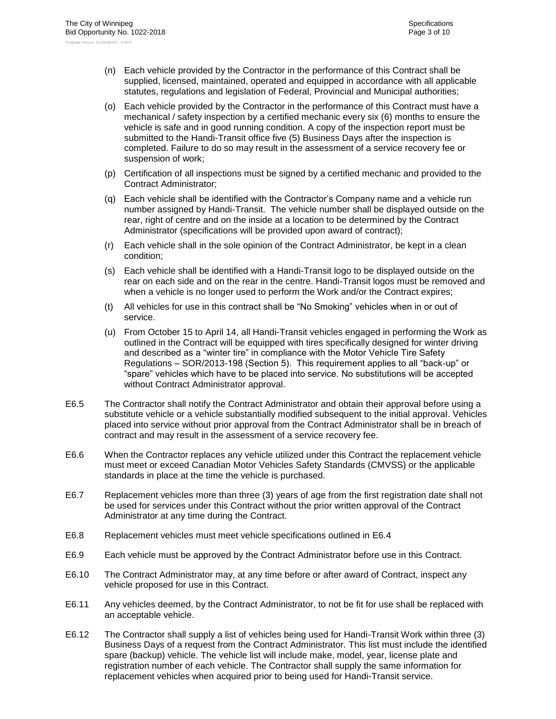- (n) Each vehicle provided by the Contractor in the performance of this Contract shall be supplied, licensed, maintained, operated and equipped in accordance with all applicable statutes, regulations and legislation of Federal, Provincial and Municipal authorities;
- (o) Each vehicle provided by the Contractor in the performance of this Contract must have a mechanical / safety inspection by a certified mechanic every six (6) months to ensure the vehicle is safe and in good running condition. A copy of the inspection report must be submitted to the Handi-Transit office five (5) Business Days after the inspection is completed. Failure to do so may result in the assessment of a service recovery fee or suspension of work;
- (p) Certification of all inspections must be signed by a certified mechanic and provided to the Contract Administrator;
- (q) Each vehicle shall be identified with the Contractor's Company name and a vehicle run number assigned by Handi-Transit. The vehicle number shall be displayed outside on the rear, right of centre and on the inside at a location to be determined by the Contract Administrator (specifications will be provided upon award of contract);
- (r) Each vehicle shall in the sole opinion of the Contract Administrator, be kept in a clean condition;
- (s) Each vehicle shall be identified with a Handi-Transit logo to be displayed outside on the rear on each side and on the rear in the centre. Handi-Transit logos must be removed and when a vehicle is no longer used to perform the Work and/or the Contract expires;
- (t) All vehicles for use in this contract shall be "No Smoking" vehicles when in or out of service.
- (u) From October 15 to April 14, all Handi-Transit vehicles engaged in performing the Work as outlined in the Contract will be equipped with tires specifically designed for winter driving and described as a "winter tire" in compliance with the Motor Vehicle Tire Safety Regulations – SOR/2013-198 (Section 5). This requirement applies to all "back-up" or "spare" vehicles which have to be placed into service. No substitutions will be accepted without Contract Administrator approval.
- E6.5 The Contractor shall notify the Contract Administrator and obtain their approval before using a substitute vehicle or a vehicle substantially modified subsequent to the initial approval. Vehicles placed into service without prior approval from the Contract Administrator shall be in breach of contract and may result in the assessment of a service recovery fee.
- E6.6 When the Contractor replaces any vehicle utilized under this Contract the replacement vehicle must meet or exceed Canadian Motor Vehicles Safety Standards (CMVSS) or the applicable standards in place at the time the vehicle is purchased.
- E6.7 Replacement vehicles more than three (3) years of age from the first registration date shall not be used for services under this Contract without the prior written approval of the Contract Administrator at any time during the Contract.
- E6.8 Replacement vehicles must meet vehicle specifications outlined in [E6.4](#page-28-0)
- E6.9 Each vehicle must be approved by the Contract Administrator before use in this Contract.
- E6.10 The Contract Administrator may, at any time before or after award of Contract, inspect any vehicle proposed for use in this Contract.
- E6.11 Any vehicles deemed, by the Contract Administrator, to not be fit for use shall be replaced with an acceptable vehicle.
- E6.12 The Contractor shall supply a list of vehicles being used for Handi-Transit Work within three (3) Business Days of a request from the Contract Administrator. This list must include the identified spare (backup) vehicle. The vehicle list will include make, model, year, license plate and registration number of each vehicle. The Contractor shall supply the same information for replacement vehicles when acquired prior to being used for Handi-Transit service.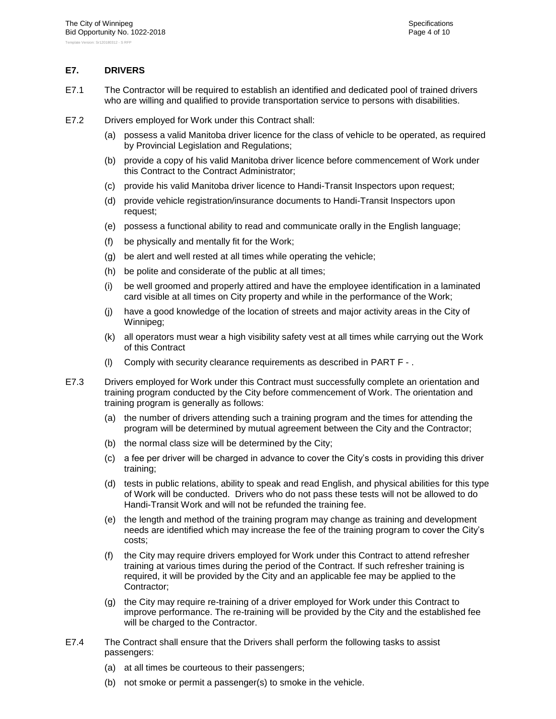#### <span id="page-30-0"></span>**E7. DRIVERS**

- E7.1 The Contractor will be required to establish an identified and dedicated pool of trained drivers who are willing and qualified to provide transportation service to persons with disabilities.
- E7.2 Drivers employed for Work under this Contract shall:
	- (a) possess a valid Manitoba driver licence for the class of vehicle to be operated, as required by Provincial Legislation and Regulations;
	- (b) provide a copy of his valid Manitoba driver licence before commencement of Work under this Contract to the Contract Administrator;
	- (c) provide his valid Manitoba driver licence to Handi-Transit Inspectors upon request;
	- (d) provide vehicle registration/insurance documents to Handi-Transit Inspectors upon request;
	- (e) possess a functional ability to read and communicate orally in the English language;
	- (f) be physically and mentally fit for the Work;
	- (g) be alert and well rested at all times while operating the vehicle;
	- (h) be polite and considerate of the public at all times;
	- (i) be well groomed and properly attired and have the employee identification in a laminated card visible at all times on City property and while in the performance of the Work;
	- (j) have a good knowledge of the location of streets and major activity areas in the City of Winnipeg;
	- (k) all operators must wear a high visibility safety vest at all times while carrying out the Work of this Contract
	- (l) Comply with security clearance requirements as described in [PART F -](#page-37-0) .
- E7.3 Drivers employed for Work under this Contract must successfully complete an orientation and training program conducted by the City before commencement of Work. The orientation and training program is generally as follows:
	- (a) the number of drivers attending such a training program and the times for attending the program will be determined by mutual agreement between the City and the Contractor;
	- (b) the normal class size will be determined by the City;
	- (c) a fee per driver will be charged in advance to cover the City's costs in providing this driver training;
	- (d) tests in public relations, ability to speak and read English, and physical abilities for this type of Work will be conducted. Drivers who do not pass these tests will not be allowed to do Handi-Transit Work and will not be refunded the training fee.
	- (e) the length and method of the training program may change as training and development needs are identified which may increase the fee of the training program to cover the City's costs;
	- (f) the City may require drivers employed for Work under this Contract to attend refresher training at various times during the period of the Contract. If such refresher training is required, it will be provided by the City and an applicable fee may be applied to the Contractor;
	- (g) the City may require re-training of a driver employed for Work under this Contract to improve performance. The re-training will be provided by the City and the established fee will be charged to the Contractor.
- E7.4 The Contract shall ensure that the Drivers shall perform the following tasks to assist passengers:
	- (a) at all times be courteous to their passengers;
	- (b) not smoke or permit a passenger(s) to smoke in the vehicle.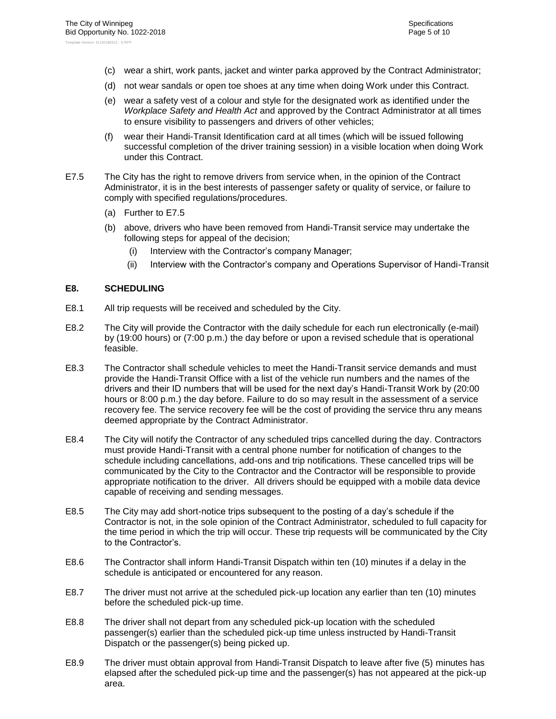- (c) wear a shirt, work pants, jacket and winter parka approved by the Contract Administrator;
- (d) not wear sandals or open toe shoes at any time when doing Work under this Contract.
- (e) wear a safety vest of a colour and style for the designated work as identified under the *Workplace Safety and Health Act* and approved by the Contract Administrator at all times to ensure visibility to passengers and drivers of other vehicles;
- (f) wear their Handi-Transit Identification card at all times (which will be issued following successful completion of the driver training session) in a visible location when doing Work under this Contract.
- <span id="page-31-1"></span>E7.5 The City has the right to remove drivers from service when, in the opinion of the Contract Administrator, it is in the best interests of passenger safety or quality of service, or failure to comply with specified regulations/procedures.
	- (a) Further to [E7.5](#page-31-1)
	- (b) above, drivers who have been removed from Handi-Transit service may undertake the following steps for appeal of the decision;
		- (i) Interview with the Contractor's company Manager;
		- (ii) Interview with the Contractor's company and Operations Supervisor of Handi-Transit

#### <span id="page-31-0"></span>**E8. SCHEDULING**

- E8.1 All trip requests will be received and scheduled by the City.
- E8.2 The City will provide the Contractor with the daily schedule for each run electronically (e-mail) by (19:00 hours) or (7:00 p.m.) the day before or upon a revised schedule that is operational feasible.
- E8.3 The Contractor shall schedule vehicles to meet the Handi-Transit service demands and must provide the Handi-Transit Office with a list of the vehicle run numbers and the names of the drivers and their ID numbers that will be used for the next day's Handi-Transit Work by (20:00 hours or 8:00 p.m.) the day before. Failure to do so may result in the assessment of a service recovery fee. The service recovery fee will be the cost of providing the service thru any means deemed appropriate by the Contract Administrator.
- E8.4 The City will notify the Contractor of any scheduled trips cancelled during the day. Contractors must provide Handi-Transit with a central phone number for notification of changes to the schedule including cancellations, add-ons and trip notifications. These cancelled trips will be communicated by the City to the Contractor and the Contractor will be responsible to provide appropriate notification to the driver. All drivers should be equipped with a mobile data device capable of receiving and sending messages.
- E8.5 The City may add short-notice trips subsequent to the posting of a day's schedule if the Contractor is not, in the sole opinion of the Contract Administrator, scheduled to full capacity for the time period in which the trip will occur. These trip requests will be communicated by the City to the Contractor's.
- E8.6 The Contractor shall inform Handi-Transit Dispatch within ten (10) minutes if a delay in the schedule is anticipated or encountered for any reason.
- E8.7 The driver must not arrive at the scheduled pick-up location any earlier than ten (10) minutes before the scheduled pick-up time.
- E8.8 The driver shall not depart from any scheduled pick-up location with the scheduled passenger(s) earlier than the scheduled pick-up time unless instructed by Handi-Transit Dispatch or the passenger(s) being picked up.
- E8.9 The driver must obtain approval from Handi-Transit Dispatch to leave after five (5) minutes has elapsed after the scheduled pick-up time and the passenger(s) has not appeared at the pick-up area.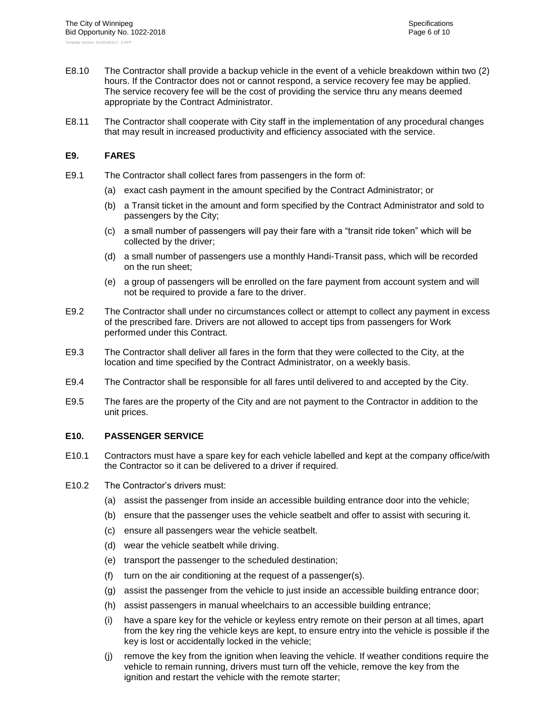- E8.10 The Contractor shall provide a backup vehicle in the event of a vehicle breakdown within two (2) hours. If the Contractor does not or cannot respond, a service recovery fee may be applied. The service recovery fee will be the cost of providing the service thru any means deemed appropriate by the Contract Administrator.
- E8.11 The Contractor shall cooperate with City staff in the implementation of any procedural changes that may result in increased productivity and efficiency associated with the service.

#### <span id="page-32-0"></span>**E9. FARES**

- E9.1 The Contractor shall collect fares from passengers in the form of:
	- (a) exact cash payment in the amount specified by the Contract Administrator; or
	- (b) a Transit ticket in the amount and form specified by the Contract Administrator and sold to passengers by the City;
	- (c) a small number of passengers will pay their fare with a "transit ride token" which will be collected by the driver;
	- (d) a small number of passengers use a monthly Handi-Transit pass, which will be recorded on the run sheet;
	- (e) a group of passengers will be enrolled on the fare payment from account system and will not be required to provide a fare to the driver.
- E9.2 The Contractor shall under no circumstances collect or attempt to collect any payment in excess of the prescribed fare. Drivers are not allowed to accept tips from passengers for Work performed under this Contract.
- E9.3 The Contractor shall deliver all fares in the form that they were collected to the City, at the location and time specified by the Contract Administrator, on a weekly basis.
- E9.4 The Contractor shall be responsible for all fares until delivered to and accepted by the City.
- E9.5 The fares are the property of the City and are not payment to the Contractor in addition to the unit prices.

#### <span id="page-32-1"></span>**E10. PASSENGER SERVICE**

- E10.1 Contractors must have a spare key for each vehicle labelled and kept at the company office/with the Contractor so it can be delivered to a driver if required.
- <span id="page-32-2"></span>E10.2 The Contractor's drivers must:
	- (a) assist the passenger from inside an accessible building entrance door into the vehicle;
	- (b) ensure that the passenger uses the vehicle seatbelt and offer to assist with securing it.
	- (c) ensure all passengers wear the vehicle seatbelt.
	- (d) wear the vehicle seatbelt while driving.
	- (e) transport the passenger to the scheduled destination;
	- (f) turn on the air conditioning at the request of a passenger(s).
	- (g) assist the passenger from the vehicle to just inside an accessible building entrance door;
	- (h) assist passengers in manual wheelchairs to an accessible building entrance;
	- (i) have a spare key for the vehicle or keyless entry remote on their person at all times, apart from the key ring the vehicle keys are kept, to ensure entry into the vehicle is possible if the key is lost or accidentally locked in the vehicle;
	- (j) remove the key from the ignition when leaving the vehicle. If weather conditions require the vehicle to remain running, drivers must turn off the vehicle, remove the key from the ignition and restart the vehicle with the remote starter;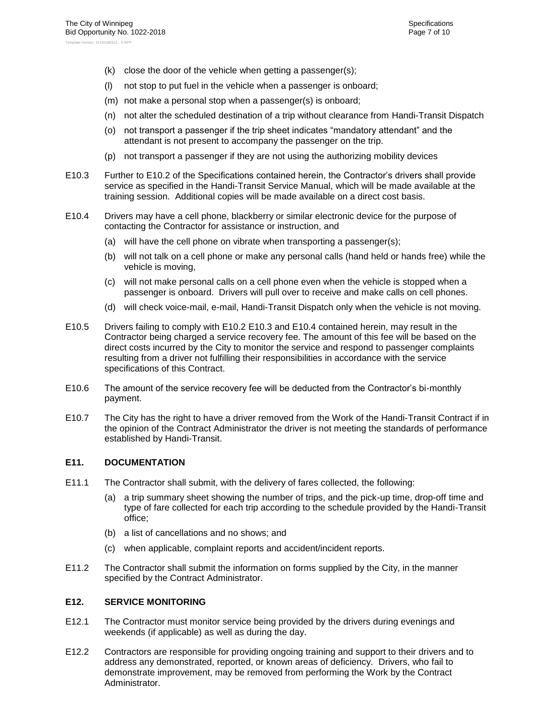- (k) close the door of the vehicle when getting a passenger(s);
- (l) not stop to put fuel in the vehicle when a passenger is onboard;
- (m) not make a personal stop when a passenger(s) is onboard;
- (n) not alter the scheduled destination of a trip without clearance from Handi-Transit Dispatch
- (o) not transport a passenger if the trip sheet indicates "mandatory attendant" and the attendant is not present to accompany the passenger on the trip.
- (p) not transport a passenger if they are not using the authorizing mobility devices
- <span id="page-33-2"></span>E10.3 Further to [E10.2](#page-32-2) of the Specifications contained herein, the Contractor's drivers shall provide service as specified in the Handi-Transit Service Manual, which will be made available at the training session. Additional copies will be made available on a direct cost basis.
- <span id="page-33-3"></span>E10.4 Drivers may have a cell phone, blackberry or similar electronic device for the purpose of contacting the Contractor for assistance or instruction, and
	- (a) will have the cell phone on vibrate when transporting a passenger(s);
	- (b) will not talk on a cell phone or make any personal calls (hand held or hands free) while the vehicle is moving,
	- (c) will not make personal calls on a cell phone even when the vehicle is stopped when a passenger is onboard. Drivers will pull over to receive and make calls on cell phones.
	- (d) will check voice-mail, e-mail, Handi-Transit Dispatch only when the vehicle is not moving.
- E10.5 Drivers failing to comply with [E10.2](#page-32-2) [E10.3](#page-33-2) and [E10.4](#page-33-3) contained herein, may result in the Contractor being charged a service recovery fee. The amount of this fee will be based on the direct costs incurred by the City to monitor the service and respond to passenger complaints resulting from a driver not fulfilling their responsibilities in accordance with the service specifications of this Contract.
- E10.6 The amount of the service recovery fee will be deducted from the Contractor's bi-monthly payment.
- E10.7 The City has the right to have a driver removed from the Work of the Handi-Transit Contract if in the opinion of the Contract Administrator the driver is not meeting the standards of performance established by Handi-Transit.

#### <span id="page-33-0"></span>**E11. DOCUMENTATION**

- E11.1 The Contractor shall submit, with the delivery of fares collected, the following:
	- (a) a trip summary sheet showing the number of trips, and the pick-up time, drop-off time and type of fare collected for each trip according to the schedule provided by the Handi-Transit office;
	- (b) a list of cancellations and no shows; and
	- (c) when applicable, complaint reports and accident/incident reports.
- E11.2 The Contractor shall submit the information on forms supplied by the City, in the manner specified by the Contract Administrator.

#### <span id="page-33-1"></span>**E12. SERVICE MONITORING**

- E12.1 The Contractor must monitor service being provided by the drivers during evenings and weekends (if applicable) as well as during the day.
- E12.2 Contractors are responsible for providing ongoing training and support to their drivers and to address any demonstrated, reported, or known areas of deficiency. Drivers, who fail to demonstrate improvement, may be removed from performing the Work by the Contract Administrator.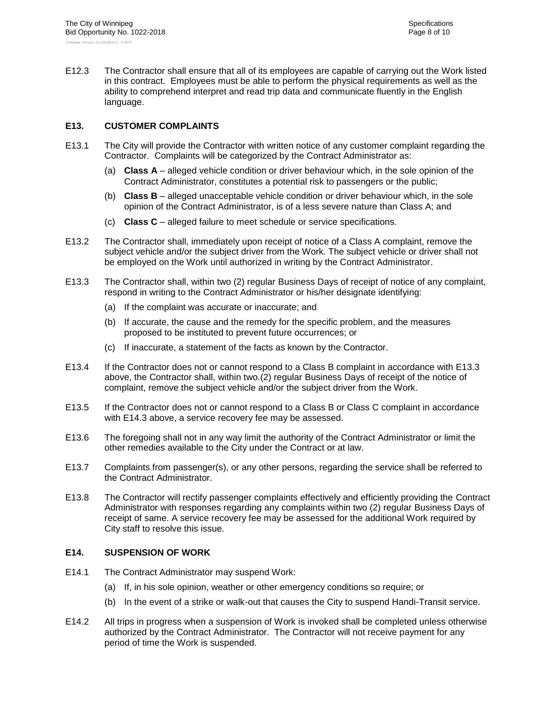E12.3 The Contractor shall ensure that all of its employees are capable of carrying out the Work listed in this contract. Employees must be able to perform the physical requirements as well as the ability to comprehend interpret and read trip data and communicate fluently in the English language.

#### <span id="page-34-0"></span>**E13. CUSTOMER COMPLAINTS**

- E13.1 The City will provide the Contractor with written notice of any customer complaint regarding the Contractor. Complaints will be categorized by the Contract Administrator as:
	- (a) **Class A** alleged vehicle condition or driver behaviour which, in the sole opinion of the Contract Administrator, constitutes a potential risk to passengers or the public;
	- (b) **Class B** alleged unacceptable vehicle condition or driver behaviour which, in the sole opinion of the Contract Administrator, is of a less severe nature than Class A; and
	- (c) **Class C** alleged failure to meet schedule or service specifications.
- E13.2 The Contractor shall, immediately upon receipt of notice of a Class A complaint, remove the subject vehicle and/or the subject driver from the Work. The subject vehicle or driver shall not be employed on the Work until authorized in writing by the Contract Administrator.
- <span id="page-34-2"></span>E13.3 The Contractor shall, within two (2) regular Business Days of receipt of notice of any complaint, respond in writing to the Contract Administrator or his/her designate identifying:
	- (a) If the complaint was accurate or inaccurate; and
	- (b) If accurate, the cause and the remedy for the specific problem, and the measures proposed to be instituted to prevent future occurrences; or
	- (c) If inaccurate, a statement of the facts as known by the Contractor.
- E13.4 If the Contractor does not or cannot respond to a Class B complaint in accordance with [E13.3](#page-34-2) above, the Contractor shall, within two.(2) regular Business Days of receipt of the notice of complaint, remove the subject vehicle and/or the subject driver from the Work.
- E13.5 If the Contractor does not or cannot respond to a Class B or Class C complaint in accordance with E14.3 above, a service recovery fee may be assessed.
- E13.6 The foregoing shall not in any way limit the authority of the Contract Administrator or limit the other remedies available to the City under the Contract or at law.
- E13.7 Complaints from passenger(s), or any other persons, regarding the service shall be referred to the Contract Administrator.
- E13.8 The Contractor will rectify passenger complaints effectively and efficiently providing the Contract Administrator with responses regarding any complaints within two (2) regular Business Days of receipt of same. A service recovery fee may be assessed for the additional Work required by City staff to resolve this issue.

#### <span id="page-34-1"></span>**E14. SUSPENSION OF WORK**

- E14.1 The Contract Administrator may suspend Work:
	- (a) If, in his sole opinion, weather or other emergency conditions so require; or
	- (b) In the event of a strike or walk-out that causes the City to suspend Handi-Transit service.
- E14.2 All trips in progress when a suspension of Work is invoked shall be completed unless otherwise authorized by the Contract Administrator. The Contractor will not receive payment for any period of time the Work is suspended.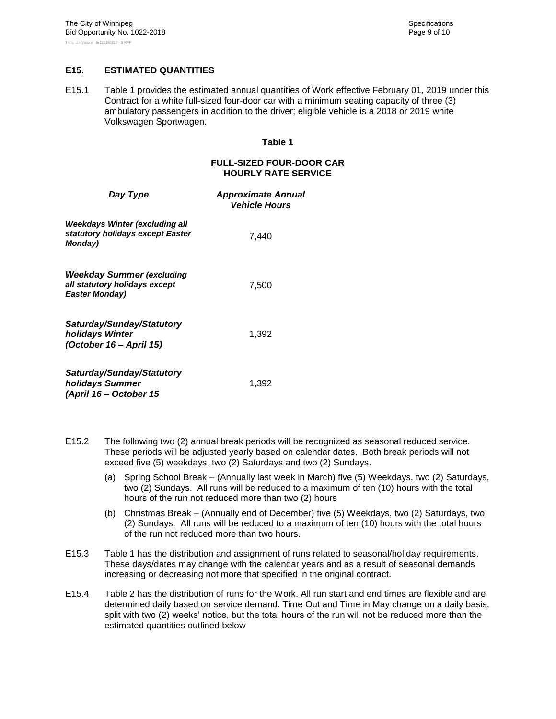#### <span id="page-35-0"></span>**E15. ESTIMATED QUANTITIES**

E15.1 Table 1 provides the estimated annual quantities of Work effective February 01, 2019 under this Contract for a white full-sized four-door car with a minimum seating capacity of three (3) ambulatory passengers in addition to the driver; eligible vehicle is a 2018 or 2019 white Volkswagen Sportwagen.

#### **Table 1**

#### **FULL-SIZED FOUR-DOOR CAR HOURLY RATE SERVICE**

| Day Type                                                                                   | <b>Approximate Annual</b><br><b>Vehicle Hours</b> |
|--------------------------------------------------------------------------------------------|---------------------------------------------------|
| Weekdays Winter (excluding all<br>statutory holidays except Easter<br><b>Monday</b> )      | 7.440                                             |
| <b>Weekday Summer (excluding</b><br>all statutory holidays except<br><b>Easter Monday)</b> | 7,500                                             |
| Saturday/Sunday/Statutory<br>holidays Winter<br>(October 16 - April 15)                    | 1,392                                             |
| Saturday/Sunday/Statutory<br>holidays Summer<br>(April 16 - October 15                     | 1,392                                             |

- E15.2 The following two (2) annual break periods will be recognized as seasonal reduced service. These periods will be adjusted yearly based on calendar dates. Both break periods will not exceed five (5) weekdays, two (2) Saturdays and two (2) Sundays.
	- (a) Spring School Break (Annually last week in March) five (5) Weekdays, two (2) Saturdays, two (2) Sundays. All runs will be reduced to a maximum of ten (10) hours with the total hours of the run not reduced more than two (2) hours
	- (b) Christmas Break (Annually end of December) five (5) Weekdays, two (2) Saturdays, two (2) Sundays. All runs will be reduced to a maximum of ten (10) hours with the total hours of the run not reduced more than two hours.
- E15.3 Table 1 has the distribution and assignment of runs related to seasonal/holiday requirements. These days/dates may change with the calendar years and as a result of seasonal demands increasing or decreasing not more that specified in the original contract.
- E15.4 Table 2 has the distribution of runs for the Work. All run start and end times are flexible and are determined daily based on service demand. Time Out and Time in May change on a daily basis, split with two (2) weeks' notice, but the total hours of the run will not be reduced more than the estimated quantities outlined below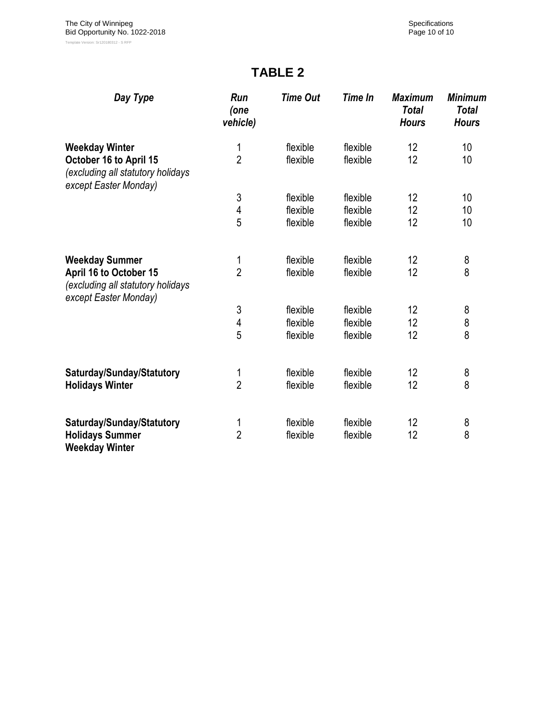# **TABLE 2**

| Day Type                                                                             | Run<br>(one<br>vehicle) | <b>Time Out</b> | <b>Time In</b> | <b>Maximum</b><br><b>Total</b><br><b>Hours</b> | <b>Minimum</b><br><b>Total</b><br><b>Hours</b> |
|--------------------------------------------------------------------------------------|-------------------------|-----------------|----------------|------------------------------------------------|------------------------------------------------|
| <b>Weekday Winter</b>                                                                | 1                       | flexible        | flexible       | 12                                             | 10 <sup>1</sup>                                |
| October 16 to April 15<br>(excluding all statutory holidays<br>except Easter Monday) | $\overline{2}$          | flexible        | flexible       | 12                                             | 10 <sup>1</sup>                                |
|                                                                                      | 3                       | flexible        | flexible       | 12                                             | 10                                             |
|                                                                                      | $\overline{4}$          | flexible        | flexible       | 12                                             | 10                                             |
|                                                                                      | 5                       | flexible        | flexible       | 12                                             | 10                                             |
| <b>Weekday Summer</b>                                                                | 1                       | flexible        | flexible       | 12                                             | 8                                              |
| April 16 to October 15<br>(excluding all statutory holidays<br>except Easter Monday) | $\overline{2}$          | flexible        | flexible       | 12                                             | 8                                              |
|                                                                                      | $\sqrt{3}$              | flexible        | flexible       | 12                                             | 8                                              |
|                                                                                      | 4                       | flexible        | flexible       | 12                                             | 8                                              |
|                                                                                      | 5                       | flexible        | flexible       | 12                                             | 8                                              |
| Saturday/Sunday/Statutory                                                            | 1                       | flexible        | flexible       | 12                                             | 8                                              |
| <b>Holidays Winter</b>                                                               | $\overline{2}$          | flexible        | flexible       | 12                                             | 8                                              |
| Saturday/Sunday/Statutory                                                            | 1                       | flexible        | flexible       | 12                                             | 8                                              |
| <b>Holidays Summer</b><br><b>Weekday Winter</b>                                      | $\overline{2}$          | flexible        | flexible       | 12                                             | 8                                              |